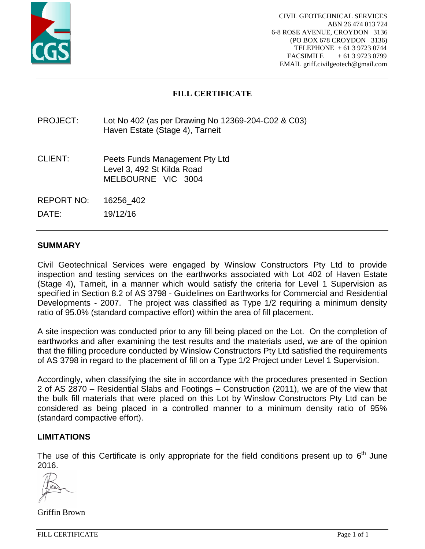

## **FILL CERTIFICATE**

## PROJECT: Lot No 402 (as per Drawing No 12369-204-C02 & C03) Haven Estate (Stage 4), Tarneit

- CLIENT: Peets Funds Management Pty Ltd Level 3, 492 St Kilda Road MELBOURNE VIC 3004
- REPORT NO: 16256\_402

DATE: 19/12/16

### **SUMMARY**

Civil Geotechnical Services were engaged by Winslow Constructors Pty Ltd to provide inspection and testing services on the earthworks associated with Lot 402 of Haven Estate (Stage 4), Tarneit, in a manner which would satisfy the criteria for Level 1 Supervision as specified in Section 8.2 of AS 3798 - Guidelines on Earthworks for Commercial and Residential Developments - 2007. The project was classified as Type 1/2 requiring a minimum density ratio of 95.0% (standard compactive effort) within the area of fill placement.

A site inspection was conducted prior to any fill being placed on the Lot. On the completion of earthworks and after examining the test results and the materials used, we are of the opinion that the filling procedure conducted by Winslow Constructors Pty Ltd satisfied the requirements of AS 3798 in regard to the placement of fill on a Type 1/2 Project under Level 1 Supervision.

Accordingly, when classifying the site in accordance with the procedures presented in Section 2 of AS 2870 – Residential Slabs and Footings – Construction (2011), we are of the view that the bulk fill materials that were placed on this Lot by Winslow Constructors Pty Ltd can be considered as being placed in a controlled manner to a minimum density ratio of 95% (standard compactive effort).

#### **LIMITATIONS**

The use of this Certificate is only appropriate for the field conditions present up to  $6<sup>th</sup>$  June 2016.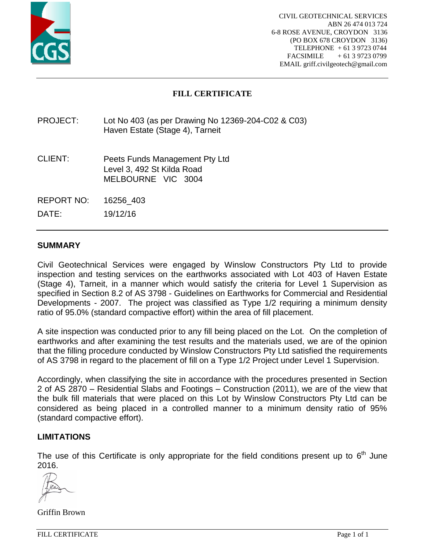

## **FILL CERTIFICATE**

## PROJECT: Lot No 403 (as per Drawing No 12369-204-C02 & C03) Haven Estate (Stage 4), Tarneit

- CLIENT: Peets Funds Management Pty Ltd Level 3, 492 St Kilda Road MELBOURNE VIC 3004
- REPORT NO: 16256\_403

DATE: 19/12/16

### **SUMMARY**

Civil Geotechnical Services were engaged by Winslow Constructors Pty Ltd to provide inspection and testing services on the earthworks associated with Lot 403 of Haven Estate (Stage 4), Tarneit, in a manner which would satisfy the criteria for Level 1 Supervision as specified in Section 8.2 of AS 3798 - Guidelines on Earthworks for Commercial and Residential Developments - 2007. The project was classified as Type 1/2 requiring a minimum density ratio of 95.0% (standard compactive effort) within the area of fill placement.

A site inspection was conducted prior to any fill being placed on the Lot. On the completion of earthworks and after examining the test results and the materials used, we are of the opinion that the filling procedure conducted by Winslow Constructors Pty Ltd satisfied the requirements of AS 3798 in regard to the placement of fill on a Type 1/2 Project under Level 1 Supervision.

Accordingly, when classifying the site in accordance with the procedures presented in Section 2 of AS 2870 – Residential Slabs and Footings – Construction (2011), we are of the view that the bulk fill materials that were placed on this Lot by Winslow Constructors Pty Ltd can be considered as being placed in a controlled manner to a minimum density ratio of 95% (standard compactive effort).

#### **LIMITATIONS**

The use of this Certificate is only appropriate for the field conditions present up to  $6<sup>th</sup>$  June 2016.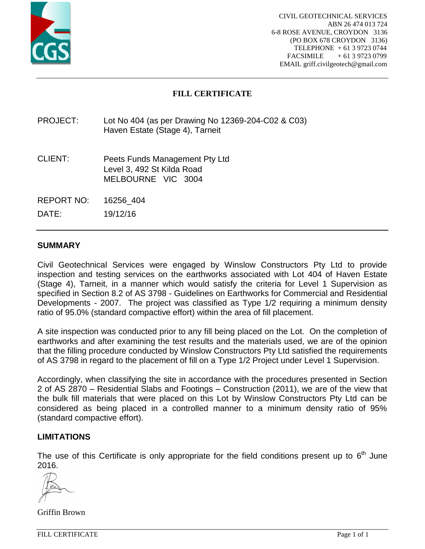

## **FILL CERTIFICATE**

## PROJECT: Lot No 404 (as per Drawing No 12369-204-C02 & C03) Haven Estate (Stage 4), Tarneit

- CLIENT: Peets Funds Management Pty Ltd Level 3, 492 St Kilda Road MELBOURNE VIC 3004
- REPORT NO: 16256\_404

DATE: 19/12/16

### **SUMMARY**

Civil Geotechnical Services were engaged by Winslow Constructors Pty Ltd to provide inspection and testing services on the earthworks associated with Lot 404 of Haven Estate (Stage 4), Tarneit, in a manner which would satisfy the criteria for Level 1 Supervision as specified in Section 8.2 of AS 3798 - Guidelines on Earthworks for Commercial and Residential Developments - 2007. The project was classified as Type 1/2 requiring a minimum density ratio of 95.0% (standard compactive effort) within the area of fill placement.

A site inspection was conducted prior to any fill being placed on the Lot. On the completion of earthworks and after examining the test results and the materials used, we are of the opinion that the filling procedure conducted by Winslow Constructors Pty Ltd satisfied the requirements of AS 3798 in regard to the placement of fill on a Type 1/2 Project under Level 1 Supervision.

Accordingly, when classifying the site in accordance with the procedures presented in Section 2 of AS 2870 – Residential Slabs and Footings – Construction (2011), we are of the view that the bulk fill materials that were placed on this Lot by Winslow Constructors Pty Ltd can be considered as being placed in a controlled manner to a minimum density ratio of 95% (standard compactive effort).

#### **LIMITATIONS**

The use of this Certificate is only appropriate for the field conditions present up to  $6<sup>th</sup>$  June 2016.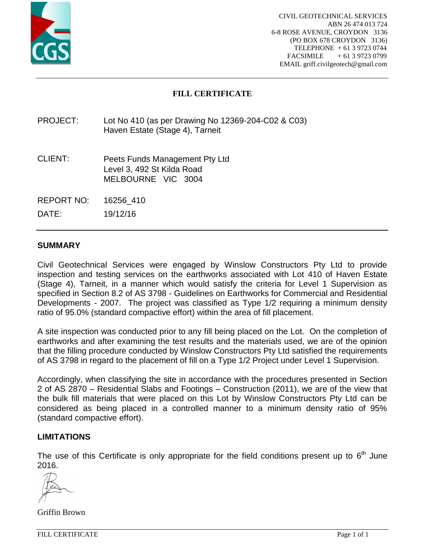

# **FILL CERTIFICATE**

## PROJECT: Lot No 410 (as per Drawing No 12369-204-C02 & C03) Haven Estate (Stage 4), Tarneit

- CLIENT: Peets Funds Management Pty Ltd Level 3, 492 St Kilda Road MELBOURNE VIC 3004
- REPORT NO: 16256\_410

DATE: 19/12/16

## **SUMMARY**

Civil Geotechnical Services were engaged by Winslow Constructors Pty Ltd to provide inspection and testing services on the earthworks associated with Lot 410 of Haven Estate (Stage 4), Tarneit, in a manner which would satisfy the criteria for Level 1 Supervision as specified in Section 8.2 of AS 3798 - Guidelines on Earthworks for Commercial and Residential Developments - 2007. The project was classified as Type 1/2 requiring a minimum density ratio of 95.0% (standard compactive effort) within the area of fill placement.

A site inspection was conducted prior to any fill being placed on the Lot. On the completion of earthworks and after examining the test results and the materials used, we are of the opinion that the filling procedure conducted by Winslow Constructors Pty Ltd satisfied the requirements of AS 3798 in regard to the placement of fill on a Type 1/2 Project under Level 1 Supervision.

Accordingly, when classifying the site in accordance with the procedures presented in Section 2 of AS 2870 – Residential Slabs and Footings – Construction (2011), we are of the view that the bulk fill materials that were placed on this Lot by Winslow Constructors Pty Ltd can be considered as being placed in a controlled manner to a minimum density ratio of 95% (standard compactive effort).

#### **LIMITATIONS**

The use of this Certificate is only appropriate for the field conditions present up to  $6<sup>th</sup>$  June 2016.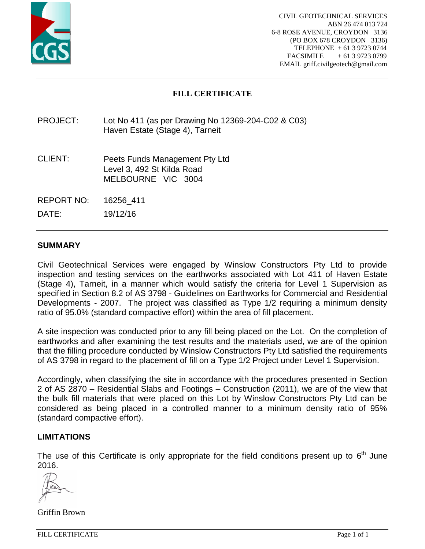

## **FILL CERTIFICATE**

## PROJECT: Lot No 411 (as per Drawing No 12369-204-C02 & C03) Haven Estate (Stage 4), Tarneit

- CLIENT: Peets Funds Management Pty Ltd Level 3, 492 St Kilda Road MELBOURNE VIC 3004
- REPORT NO: 16256\_411

DATE: 19/12/16

### **SUMMARY**

Civil Geotechnical Services were engaged by Winslow Constructors Pty Ltd to provide inspection and testing services on the earthworks associated with Lot 411 of Haven Estate (Stage 4), Tarneit, in a manner which would satisfy the criteria for Level 1 Supervision as specified in Section 8.2 of AS 3798 - Guidelines on Earthworks for Commercial and Residential Developments - 2007. The project was classified as Type 1/2 requiring a minimum density ratio of 95.0% (standard compactive effort) within the area of fill placement.

A site inspection was conducted prior to any fill being placed on the Lot. On the completion of earthworks and after examining the test results and the materials used, we are of the opinion that the filling procedure conducted by Winslow Constructors Pty Ltd satisfied the requirements of AS 3798 in regard to the placement of fill on a Type 1/2 Project under Level 1 Supervision.

Accordingly, when classifying the site in accordance with the procedures presented in Section 2 of AS 2870 – Residential Slabs and Footings – Construction (2011), we are of the view that the bulk fill materials that were placed on this Lot by Winslow Constructors Pty Ltd can be considered as being placed in a controlled manner to a minimum density ratio of 95% (standard compactive effort).

#### **LIMITATIONS**

The use of this Certificate is only appropriate for the field conditions present up to  $6<sup>th</sup>$  June 2016.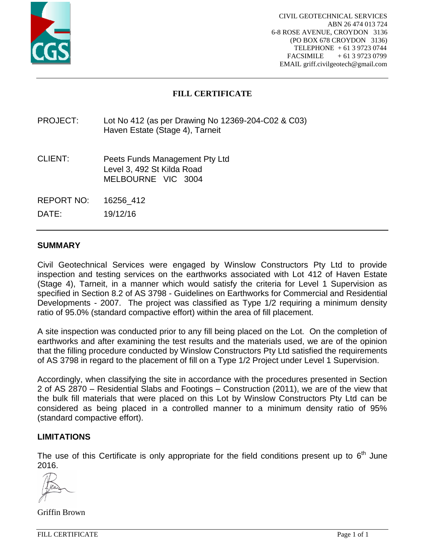

# **FILL CERTIFICATE**

## PROJECT: Lot No 412 (as per Drawing No 12369-204-C02 & C03) Haven Estate (Stage 4), Tarneit

- CLIENT: Peets Funds Management Pty Ltd Level 3, 492 St Kilda Road MELBOURNE VIC 3004
- REPORT NO: 16256\_412

DATE: 19/12/16

### **SUMMARY**

Civil Geotechnical Services were engaged by Winslow Constructors Pty Ltd to provide inspection and testing services on the earthworks associated with Lot 412 of Haven Estate (Stage 4), Tarneit, in a manner which would satisfy the criteria for Level 1 Supervision as specified in Section 8.2 of AS 3798 - Guidelines on Earthworks for Commercial and Residential Developments - 2007. The project was classified as Type 1/2 requiring a minimum density ratio of 95.0% (standard compactive effort) within the area of fill placement.

A site inspection was conducted prior to any fill being placed on the Lot. On the completion of earthworks and after examining the test results and the materials used, we are of the opinion that the filling procedure conducted by Winslow Constructors Pty Ltd satisfied the requirements of AS 3798 in regard to the placement of fill on a Type 1/2 Project under Level 1 Supervision.

Accordingly, when classifying the site in accordance with the procedures presented in Section 2 of AS 2870 – Residential Slabs and Footings – Construction (2011), we are of the view that the bulk fill materials that were placed on this Lot by Winslow Constructors Pty Ltd can be considered as being placed in a controlled manner to a minimum density ratio of 95% (standard compactive effort).

#### **LIMITATIONS**

The use of this Certificate is only appropriate for the field conditions present up to  $6<sup>th</sup>$  June 2016.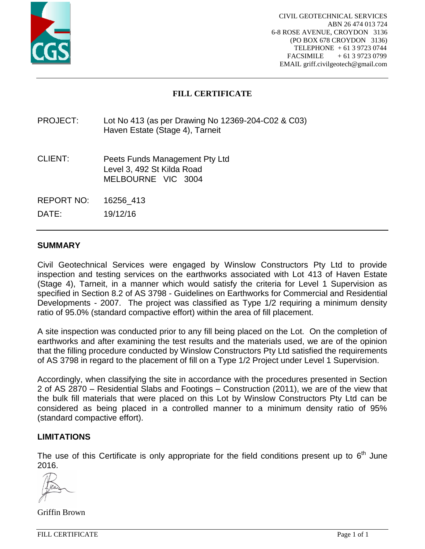

# **FILL CERTIFICATE**

## PROJECT: Lot No 413 (as per Drawing No 12369-204-C02 & C03) Haven Estate (Stage 4), Tarneit

- CLIENT: Peets Funds Management Pty Ltd Level 3, 492 St Kilda Road MELBOURNE VIC 3004
- REPORT NO: 16256\_413

DATE: 19/12/16

## **SUMMARY**

Civil Geotechnical Services were engaged by Winslow Constructors Pty Ltd to provide inspection and testing services on the earthworks associated with Lot 413 of Haven Estate (Stage 4), Tarneit, in a manner which would satisfy the criteria for Level 1 Supervision as specified in Section 8.2 of AS 3798 - Guidelines on Earthworks for Commercial and Residential Developments - 2007. The project was classified as Type 1/2 requiring a minimum density ratio of 95.0% (standard compactive effort) within the area of fill placement.

A site inspection was conducted prior to any fill being placed on the Lot. On the completion of earthworks and after examining the test results and the materials used, we are of the opinion that the filling procedure conducted by Winslow Constructors Pty Ltd satisfied the requirements of AS 3798 in regard to the placement of fill on a Type 1/2 Project under Level 1 Supervision.

Accordingly, when classifying the site in accordance with the procedures presented in Section 2 of AS 2870 – Residential Slabs and Footings – Construction (2011), we are of the view that the bulk fill materials that were placed on this Lot by Winslow Constructors Pty Ltd can be considered as being placed in a controlled manner to a minimum density ratio of 95% (standard compactive effort).

#### **LIMITATIONS**

The use of this Certificate is only appropriate for the field conditions present up to  $6<sup>th</sup>$  June 2016.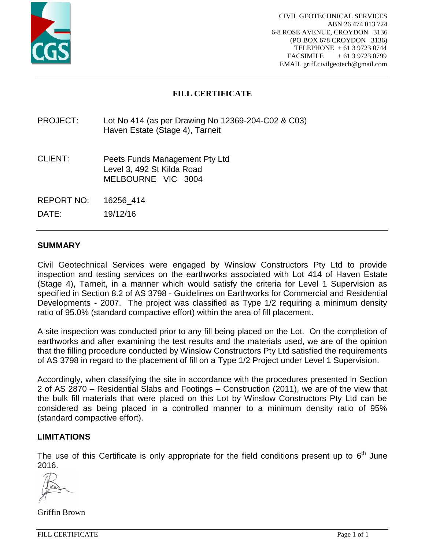

## **FILL CERTIFICATE**

## PROJECT: Lot No 414 (as per Drawing No 12369-204-C02 & C03) Haven Estate (Stage 4), Tarneit

- CLIENT: Peets Funds Management Pty Ltd Level 3, 492 St Kilda Road MELBOURNE VIC 3004
- REPORT NO: 16256\_414

DATE: 19/12/16

### **SUMMARY**

Civil Geotechnical Services were engaged by Winslow Constructors Pty Ltd to provide inspection and testing services on the earthworks associated with Lot 414 of Haven Estate (Stage 4), Tarneit, in a manner which would satisfy the criteria for Level 1 Supervision as specified in Section 8.2 of AS 3798 - Guidelines on Earthworks for Commercial and Residential Developments - 2007. The project was classified as Type 1/2 requiring a minimum density ratio of 95.0% (standard compactive effort) within the area of fill placement.

A site inspection was conducted prior to any fill being placed on the Lot. On the completion of earthworks and after examining the test results and the materials used, we are of the opinion that the filling procedure conducted by Winslow Constructors Pty Ltd satisfied the requirements of AS 3798 in regard to the placement of fill on a Type 1/2 Project under Level 1 Supervision.

Accordingly, when classifying the site in accordance with the procedures presented in Section 2 of AS 2870 – Residential Slabs and Footings – Construction (2011), we are of the view that the bulk fill materials that were placed on this Lot by Winslow Constructors Pty Ltd can be considered as being placed in a controlled manner to a minimum density ratio of 95% (standard compactive effort).

#### **LIMITATIONS**

The use of this Certificate is only appropriate for the field conditions present up to  $6<sup>th</sup>$  June 2016.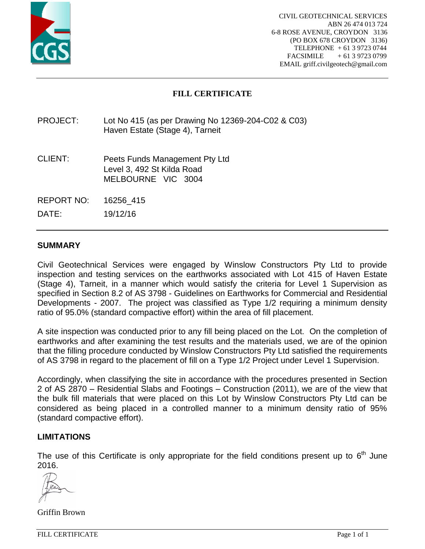

# **FILL CERTIFICATE**

## PROJECT: Lot No 415 (as per Drawing No 12369-204-C02 & C03) Haven Estate (Stage 4), Tarneit

- CLIENT: Peets Funds Management Pty Ltd Level 3, 492 St Kilda Road MELBOURNE VIC 3004
- REPORT NO: 16256\_415

DATE: 19/12/16

### **SUMMARY**

Civil Geotechnical Services were engaged by Winslow Constructors Pty Ltd to provide inspection and testing services on the earthworks associated with Lot 415 of Haven Estate (Stage 4), Tarneit, in a manner which would satisfy the criteria for Level 1 Supervision as specified in Section 8.2 of AS 3798 - Guidelines on Earthworks for Commercial and Residential Developments - 2007. The project was classified as Type 1/2 requiring a minimum density ratio of 95.0% (standard compactive effort) within the area of fill placement.

A site inspection was conducted prior to any fill being placed on the Lot. On the completion of earthworks and after examining the test results and the materials used, we are of the opinion that the filling procedure conducted by Winslow Constructors Pty Ltd satisfied the requirements of AS 3798 in regard to the placement of fill on a Type 1/2 Project under Level 1 Supervision.

Accordingly, when classifying the site in accordance with the procedures presented in Section 2 of AS 2870 – Residential Slabs and Footings – Construction (2011), we are of the view that the bulk fill materials that were placed on this Lot by Winslow Constructors Pty Ltd can be considered as being placed in a controlled manner to a minimum density ratio of 95% (standard compactive effort).

#### **LIMITATIONS**

The use of this Certificate is only appropriate for the field conditions present up to  $6<sup>th</sup>$  June 2016.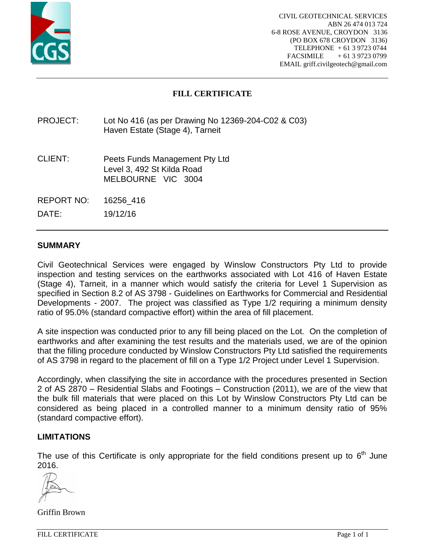

# **FILL CERTIFICATE**

## PROJECT: Lot No 416 (as per Drawing No 12369-204-C02 & C03) Haven Estate (Stage 4), Tarneit

- CLIENT: Peets Funds Management Pty Ltd Level 3, 492 St Kilda Road MELBOURNE VIC 3004
- REPORT NO: 16256\_416

DATE: 19/12/16

### **SUMMARY**

Civil Geotechnical Services were engaged by Winslow Constructors Pty Ltd to provide inspection and testing services on the earthworks associated with Lot 416 of Haven Estate (Stage 4), Tarneit, in a manner which would satisfy the criteria for Level 1 Supervision as specified in Section 8.2 of AS 3798 - Guidelines on Earthworks for Commercial and Residential Developments - 2007. The project was classified as Type 1/2 requiring a minimum density ratio of 95.0% (standard compactive effort) within the area of fill placement.

A site inspection was conducted prior to any fill being placed on the Lot. On the completion of earthworks and after examining the test results and the materials used, we are of the opinion that the filling procedure conducted by Winslow Constructors Pty Ltd satisfied the requirements of AS 3798 in regard to the placement of fill on a Type 1/2 Project under Level 1 Supervision.

Accordingly, when classifying the site in accordance with the procedures presented in Section 2 of AS 2870 – Residential Slabs and Footings – Construction (2011), we are of the view that the bulk fill materials that were placed on this Lot by Winslow Constructors Pty Ltd can be considered as being placed in a controlled manner to a minimum density ratio of 95% (standard compactive effort).

#### **LIMITATIONS**

The use of this Certificate is only appropriate for the field conditions present up to  $6<sup>th</sup>$  June 2016.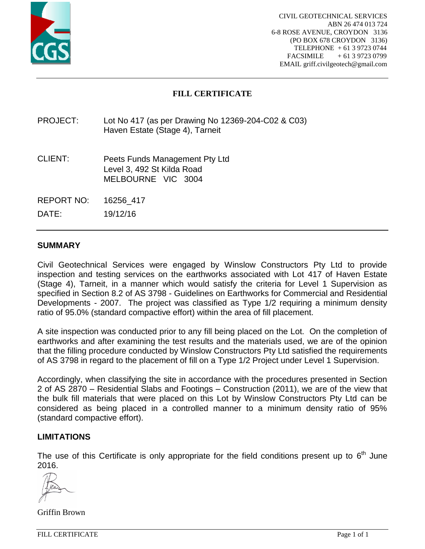

# **FILL CERTIFICATE**

## PROJECT: Lot No 417 (as per Drawing No 12369-204-C02 & C03) Haven Estate (Stage 4), Tarneit

- CLIENT: Peets Funds Management Pty Ltd Level 3, 492 St Kilda Road MELBOURNE VIC 3004
- REPORT NO: 16256\_417

DATE: 19/12/16

### **SUMMARY**

Civil Geotechnical Services were engaged by Winslow Constructors Pty Ltd to provide inspection and testing services on the earthworks associated with Lot 417 of Haven Estate (Stage 4), Tarneit, in a manner which would satisfy the criteria for Level 1 Supervision as specified in Section 8.2 of AS 3798 - Guidelines on Earthworks for Commercial and Residential Developments - 2007. The project was classified as Type 1/2 requiring a minimum density ratio of 95.0% (standard compactive effort) within the area of fill placement.

A site inspection was conducted prior to any fill being placed on the Lot. On the completion of earthworks and after examining the test results and the materials used, we are of the opinion that the filling procedure conducted by Winslow Constructors Pty Ltd satisfied the requirements of AS 3798 in regard to the placement of fill on a Type 1/2 Project under Level 1 Supervision.

Accordingly, when classifying the site in accordance with the procedures presented in Section 2 of AS 2870 – Residential Slabs and Footings – Construction (2011), we are of the view that the bulk fill materials that were placed on this Lot by Winslow Constructors Pty Ltd can be considered as being placed in a controlled manner to a minimum density ratio of 95% (standard compactive effort).

#### **LIMITATIONS**

The use of this Certificate is only appropriate for the field conditions present up to  $6<sup>th</sup>$  June 2016.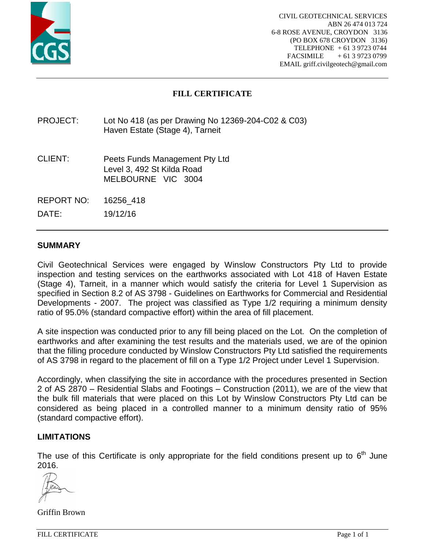

# **FILL CERTIFICATE**

## PROJECT: Lot No 418 (as per Drawing No 12369-204-C02 & C03) Haven Estate (Stage 4), Tarneit

- CLIENT: Peets Funds Management Pty Ltd Level 3, 492 St Kilda Road MELBOURNE VIC 3004
- REPORT NO: 16256\_418

DATE: 19/12/16

### **SUMMARY**

Civil Geotechnical Services were engaged by Winslow Constructors Pty Ltd to provide inspection and testing services on the earthworks associated with Lot 418 of Haven Estate (Stage 4), Tarneit, in a manner which would satisfy the criteria for Level 1 Supervision as specified in Section 8.2 of AS 3798 - Guidelines on Earthworks for Commercial and Residential Developments - 2007. The project was classified as Type 1/2 requiring a minimum density ratio of 95.0% (standard compactive effort) within the area of fill placement.

A site inspection was conducted prior to any fill being placed on the Lot. On the completion of earthworks and after examining the test results and the materials used, we are of the opinion that the filling procedure conducted by Winslow Constructors Pty Ltd satisfied the requirements of AS 3798 in regard to the placement of fill on a Type 1/2 Project under Level 1 Supervision.

Accordingly, when classifying the site in accordance with the procedures presented in Section 2 of AS 2870 – Residential Slabs and Footings – Construction (2011), we are of the view that the bulk fill materials that were placed on this Lot by Winslow Constructors Pty Ltd can be considered as being placed in a controlled manner to a minimum density ratio of 95% (standard compactive effort).

#### **LIMITATIONS**

The use of this Certificate is only appropriate for the field conditions present up to  $6<sup>th</sup>$  June 2016.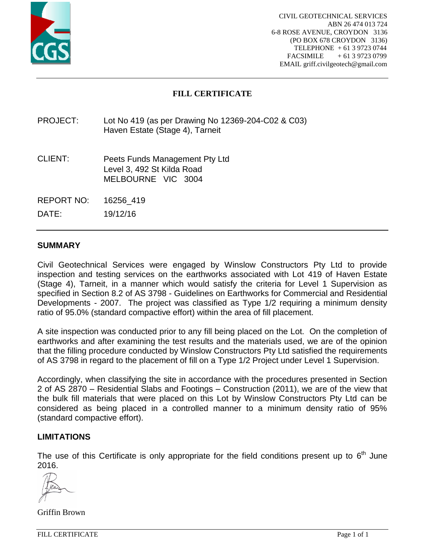

## **FILL CERTIFICATE**

## PROJECT: Lot No 419 (as per Drawing No 12369-204-C02 & C03) Haven Estate (Stage 4), Tarneit

- CLIENT: Peets Funds Management Pty Ltd Level 3, 492 St Kilda Road MELBOURNE VIC 3004
- REPORT NO: 16256\_419

DATE: 19/12/16

## **SUMMARY**

Civil Geotechnical Services were engaged by Winslow Constructors Pty Ltd to provide inspection and testing services on the earthworks associated with Lot 419 of Haven Estate (Stage 4), Tarneit, in a manner which would satisfy the criteria for Level 1 Supervision as specified in Section 8.2 of AS 3798 - Guidelines on Earthworks for Commercial and Residential Developments - 2007. The project was classified as Type 1/2 requiring a minimum density ratio of 95.0% (standard compactive effort) within the area of fill placement.

A site inspection was conducted prior to any fill being placed on the Lot. On the completion of earthworks and after examining the test results and the materials used, we are of the opinion that the filling procedure conducted by Winslow Constructors Pty Ltd satisfied the requirements of AS 3798 in regard to the placement of fill on a Type 1/2 Project under Level 1 Supervision.

Accordingly, when classifying the site in accordance with the procedures presented in Section 2 of AS 2870 – Residential Slabs and Footings – Construction (2011), we are of the view that the bulk fill materials that were placed on this Lot by Winslow Constructors Pty Ltd can be considered as being placed in a controlled manner to a minimum density ratio of 95% (standard compactive effort).

#### **LIMITATIONS**

The use of this Certificate is only appropriate for the field conditions present up to  $6<sup>th</sup>$  June 2016.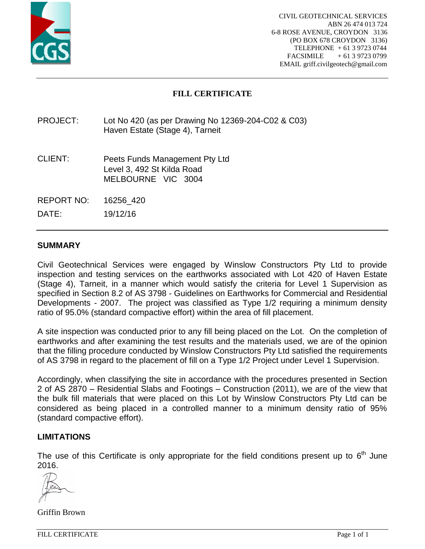

## **FILL CERTIFICATE**

## PROJECT: Lot No 420 (as per Drawing No 12369-204-C02 & C03) Haven Estate (Stage 4), Tarneit

- CLIENT: Peets Funds Management Pty Ltd Level 3, 492 St Kilda Road MELBOURNE VIC 3004
- REPORT NO: 16256\_420

DATE: 19/12/16

### **SUMMARY**

Civil Geotechnical Services were engaged by Winslow Constructors Pty Ltd to provide inspection and testing services on the earthworks associated with Lot 420 of Haven Estate (Stage 4), Tarneit, in a manner which would satisfy the criteria for Level 1 Supervision as specified in Section 8.2 of AS 3798 - Guidelines on Earthworks for Commercial and Residential Developments - 2007. The project was classified as Type 1/2 requiring a minimum density ratio of 95.0% (standard compactive effort) within the area of fill placement.

A site inspection was conducted prior to any fill being placed on the Lot. On the completion of earthworks and after examining the test results and the materials used, we are of the opinion that the filling procedure conducted by Winslow Constructors Pty Ltd satisfied the requirements of AS 3798 in regard to the placement of fill on a Type 1/2 Project under Level 1 Supervision.

Accordingly, when classifying the site in accordance with the procedures presented in Section 2 of AS 2870 – Residential Slabs and Footings – Construction (2011), we are of the view that the bulk fill materials that were placed on this Lot by Winslow Constructors Pty Ltd can be considered as being placed in a controlled manner to a minimum density ratio of 95% (standard compactive effort).

#### **LIMITATIONS**

The use of this Certificate is only appropriate for the field conditions present up to  $6<sup>th</sup>$  June 2016.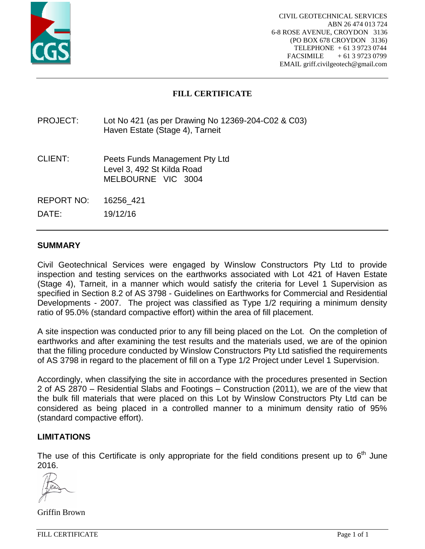

## **FILL CERTIFICATE**

## PROJECT: Lot No 421 (as per Drawing No 12369-204-C02 & C03) Haven Estate (Stage 4), Tarneit

- CLIENT: Peets Funds Management Pty Ltd Level 3, 492 St Kilda Road MELBOURNE VIC 3004
- REPORT NO: 16256\_421

DATE: 19/12/16

### **SUMMARY**

Civil Geotechnical Services were engaged by Winslow Constructors Pty Ltd to provide inspection and testing services on the earthworks associated with Lot 421 of Haven Estate (Stage 4), Tarneit, in a manner which would satisfy the criteria for Level 1 Supervision as specified in Section 8.2 of AS 3798 - Guidelines on Earthworks for Commercial and Residential Developments - 2007. The project was classified as Type 1/2 requiring a minimum density ratio of 95.0% (standard compactive effort) within the area of fill placement.

A site inspection was conducted prior to any fill being placed on the Lot. On the completion of earthworks and after examining the test results and the materials used, we are of the opinion that the filling procedure conducted by Winslow Constructors Pty Ltd satisfied the requirements of AS 3798 in regard to the placement of fill on a Type 1/2 Project under Level 1 Supervision.

Accordingly, when classifying the site in accordance with the procedures presented in Section 2 of AS 2870 – Residential Slabs and Footings – Construction (2011), we are of the view that the bulk fill materials that were placed on this Lot by Winslow Constructors Pty Ltd can be considered as being placed in a controlled manner to a minimum density ratio of 95% (standard compactive effort).

#### **LIMITATIONS**

The use of this Certificate is only appropriate for the field conditions present up to  $6<sup>th</sup>$  June 2016.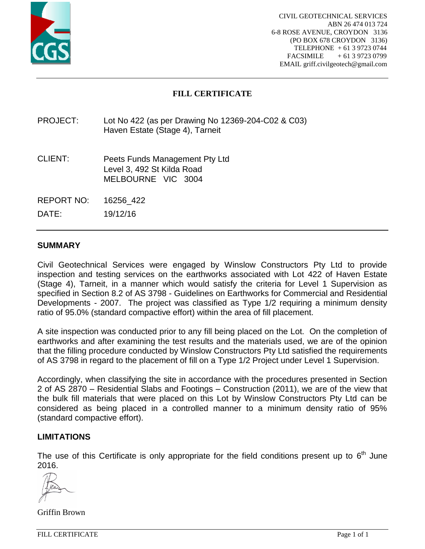

## **FILL CERTIFICATE**

## PROJECT: Lot No 422 (as per Drawing No 12369-204-C02 & C03) Haven Estate (Stage 4), Tarneit

- CLIENT: Peets Funds Management Pty Ltd Level 3, 492 St Kilda Road MELBOURNE VIC 3004
- REPORT NO: 16256\_422

DATE: 19/12/16

## **SUMMARY**

Civil Geotechnical Services were engaged by Winslow Constructors Pty Ltd to provide inspection and testing services on the earthworks associated with Lot 422 of Haven Estate (Stage 4), Tarneit, in a manner which would satisfy the criteria for Level 1 Supervision as specified in Section 8.2 of AS 3798 - Guidelines on Earthworks for Commercial and Residential Developments - 2007. The project was classified as Type 1/2 requiring a minimum density ratio of 95.0% (standard compactive effort) within the area of fill placement.

A site inspection was conducted prior to any fill being placed on the Lot. On the completion of earthworks and after examining the test results and the materials used, we are of the opinion that the filling procedure conducted by Winslow Constructors Pty Ltd satisfied the requirements of AS 3798 in regard to the placement of fill on a Type 1/2 Project under Level 1 Supervision.

Accordingly, when classifying the site in accordance with the procedures presented in Section 2 of AS 2870 – Residential Slabs and Footings – Construction (2011), we are of the view that the bulk fill materials that were placed on this Lot by Winslow Constructors Pty Ltd can be considered as being placed in a controlled manner to a minimum density ratio of 95% (standard compactive effort).

#### **LIMITATIONS**

The use of this Certificate is only appropriate for the field conditions present up to  $6<sup>th</sup>$  June 2016.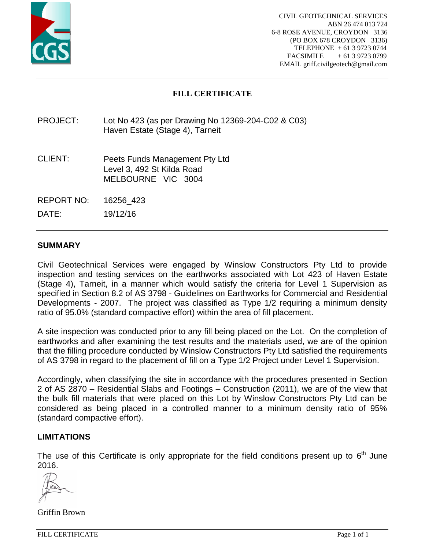

# **FILL CERTIFICATE**

## PROJECT: Lot No 423 (as per Drawing No 12369-204-C02 & C03) Haven Estate (Stage 4), Tarneit

- CLIENT: Peets Funds Management Pty Ltd Level 3, 492 St Kilda Road MELBOURNE VIC 3004
- REPORT NO: 16256\_423

DATE: 19/12/16

### **SUMMARY**

Civil Geotechnical Services were engaged by Winslow Constructors Pty Ltd to provide inspection and testing services on the earthworks associated with Lot 423 of Haven Estate (Stage 4), Tarneit, in a manner which would satisfy the criteria for Level 1 Supervision as specified in Section 8.2 of AS 3798 - Guidelines on Earthworks for Commercial and Residential Developments - 2007. The project was classified as Type 1/2 requiring a minimum density ratio of 95.0% (standard compactive effort) within the area of fill placement.

A site inspection was conducted prior to any fill being placed on the Lot. On the completion of earthworks and after examining the test results and the materials used, we are of the opinion that the filling procedure conducted by Winslow Constructors Pty Ltd satisfied the requirements of AS 3798 in regard to the placement of fill on a Type 1/2 Project under Level 1 Supervision.

Accordingly, when classifying the site in accordance with the procedures presented in Section 2 of AS 2870 – Residential Slabs and Footings – Construction (2011), we are of the view that the bulk fill materials that were placed on this Lot by Winslow Constructors Pty Ltd can be considered as being placed in a controlled manner to a minimum density ratio of 95% (standard compactive effort).

#### **LIMITATIONS**

The use of this Certificate is only appropriate for the field conditions present up to  $6<sup>th</sup>$  June 2016.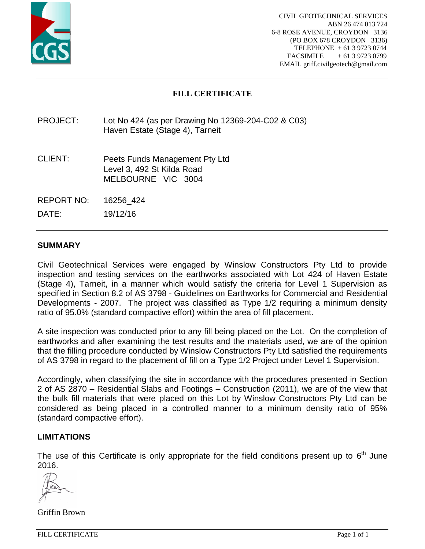

## **FILL CERTIFICATE**

## PROJECT: Lot No 424 (as per Drawing No 12369-204-C02 & C03) Haven Estate (Stage 4), Tarneit

- CLIENT: Peets Funds Management Pty Ltd Level 3, 492 St Kilda Road MELBOURNE VIC 3004
- REPORT NO: 16256\_424

DATE: 19/12/16

## **SUMMARY**

Civil Geotechnical Services were engaged by Winslow Constructors Pty Ltd to provide inspection and testing services on the earthworks associated with Lot 424 of Haven Estate (Stage 4), Tarneit, in a manner which would satisfy the criteria for Level 1 Supervision as specified in Section 8.2 of AS 3798 - Guidelines on Earthworks for Commercial and Residential Developments - 2007. The project was classified as Type 1/2 requiring a minimum density ratio of 95.0% (standard compactive effort) within the area of fill placement.

A site inspection was conducted prior to any fill being placed on the Lot. On the completion of earthworks and after examining the test results and the materials used, we are of the opinion that the filling procedure conducted by Winslow Constructors Pty Ltd satisfied the requirements of AS 3798 in regard to the placement of fill on a Type 1/2 Project under Level 1 Supervision.

Accordingly, when classifying the site in accordance with the procedures presented in Section 2 of AS 2870 – Residential Slabs and Footings – Construction (2011), we are of the view that the bulk fill materials that were placed on this Lot by Winslow Constructors Pty Ltd can be considered as being placed in a controlled manner to a minimum density ratio of 95% (standard compactive effort).

#### **LIMITATIONS**

The use of this Certificate is only appropriate for the field conditions present up to  $6<sup>th</sup>$  June 2016.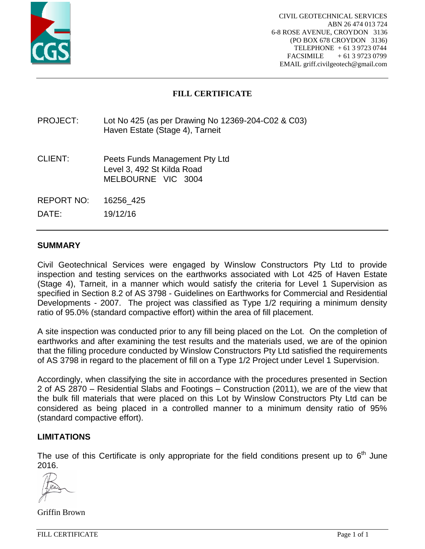

# **FILL CERTIFICATE**

## PROJECT: Lot No 425 (as per Drawing No 12369-204-C02 & C03) Haven Estate (Stage 4), Tarneit

- CLIENT: Peets Funds Management Pty Ltd Level 3, 492 St Kilda Road MELBOURNE VIC 3004
- REPORT NO: 16256\_425

DATE: 19/12/16

### **SUMMARY**

Civil Geotechnical Services were engaged by Winslow Constructors Pty Ltd to provide inspection and testing services on the earthworks associated with Lot 425 of Haven Estate (Stage 4), Tarneit, in a manner which would satisfy the criteria for Level 1 Supervision as specified in Section 8.2 of AS 3798 - Guidelines on Earthworks for Commercial and Residential Developments - 2007. The project was classified as Type 1/2 requiring a minimum density ratio of 95.0% (standard compactive effort) within the area of fill placement.

A site inspection was conducted prior to any fill being placed on the Lot. On the completion of earthworks and after examining the test results and the materials used, we are of the opinion that the filling procedure conducted by Winslow Constructors Pty Ltd satisfied the requirements of AS 3798 in regard to the placement of fill on a Type 1/2 Project under Level 1 Supervision.

Accordingly, when classifying the site in accordance with the procedures presented in Section 2 of AS 2870 – Residential Slabs and Footings – Construction (2011), we are of the view that the bulk fill materials that were placed on this Lot by Winslow Constructors Pty Ltd can be considered as being placed in a controlled manner to a minimum density ratio of 95% (standard compactive effort).

#### **LIMITATIONS**

The use of this Certificate is only appropriate for the field conditions present up to  $6<sup>th</sup>$  June 2016.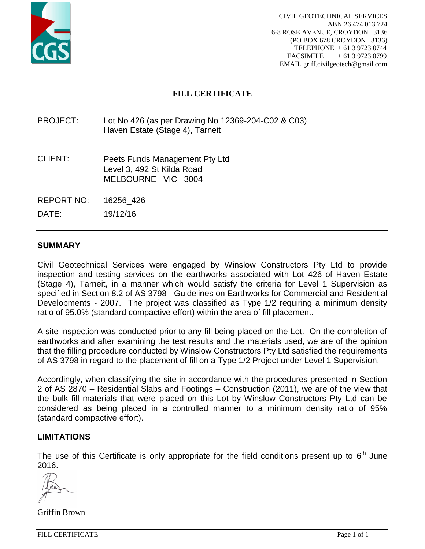

## **FILL CERTIFICATE**

## PROJECT: Lot No 426 (as per Drawing No 12369-204-C02 & C03) Haven Estate (Stage 4), Tarneit

- CLIENT: Peets Funds Management Pty Ltd Level 3, 492 St Kilda Road MELBOURNE VIC 3004
- REPORT NO: 16256\_426

DATE: 19/12/16

### **SUMMARY**

Civil Geotechnical Services were engaged by Winslow Constructors Pty Ltd to provide inspection and testing services on the earthworks associated with Lot 426 of Haven Estate (Stage 4), Tarneit, in a manner which would satisfy the criteria for Level 1 Supervision as specified in Section 8.2 of AS 3798 - Guidelines on Earthworks for Commercial and Residential Developments - 2007. The project was classified as Type 1/2 requiring a minimum density ratio of 95.0% (standard compactive effort) within the area of fill placement.

A site inspection was conducted prior to any fill being placed on the Lot. On the completion of earthworks and after examining the test results and the materials used, we are of the opinion that the filling procedure conducted by Winslow Constructors Pty Ltd satisfied the requirements of AS 3798 in regard to the placement of fill on a Type 1/2 Project under Level 1 Supervision.

Accordingly, when classifying the site in accordance with the procedures presented in Section 2 of AS 2870 – Residential Slabs and Footings – Construction (2011), we are of the view that the bulk fill materials that were placed on this Lot by Winslow Constructors Pty Ltd can be considered as being placed in a controlled manner to a minimum density ratio of 95% (standard compactive effort).

#### **LIMITATIONS**

The use of this Certificate is only appropriate for the field conditions present up to  $6<sup>th</sup>$  June 2016.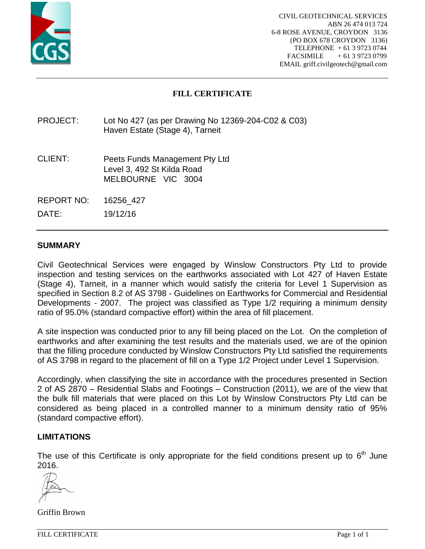

# **FILL CERTIFICATE**

## PROJECT: Lot No 427 (as per Drawing No 12369-204-C02 & C03) Haven Estate (Stage 4), Tarneit

- CLIENT: Peets Funds Management Pty Ltd Level 3, 492 St Kilda Road MELBOURNE VIC 3004
- REPORT NO: 16256\_427

DATE: 19/12/16

## **SUMMARY**

Civil Geotechnical Services were engaged by Winslow Constructors Pty Ltd to provide inspection and testing services on the earthworks associated with Lot 427 of Haven Estate (Stage 4), Tarneit, in a manner which would satisfy the criteria for Level 1 Supervision as specified in Section 8.2 of AS 3798 - Guidelines on Earthworks for Commercial and Residential Developments - 2007. The project was classified as Type 1/2 requiring a minimum density ratio of 95.0% (standard compactive effort) within the area of fill placement.

A site inspection was conducted prior to any fill being placed on the Lot. On the completion of earthworks and after examining the test results and the materials used, we are of the opinion that the filling procedure conducted by Winslow Constructors Pty Ltd satisfied the requirements of AS 3798 in regard to the placement of fill on a Type 1/2 Project under Level 1 Supervision.

Accordingly, when classifying the site in accordance with the procedures presented in Section 2 of AS 2870 – Residential Slabs and Footings – Construction (2011), we are of the view that the bulk fill materials that were placed on this Lot by Winslow Constructors Pty Ltd can be considered as being placed in a controlled manner to a minimum density ratio of 95% (standard compactive effort).

#### **LIMITATIONS**

The use of this Certificate is only appropriate for the field conditions present up to  $6<sup>th</sup>$  June 2016.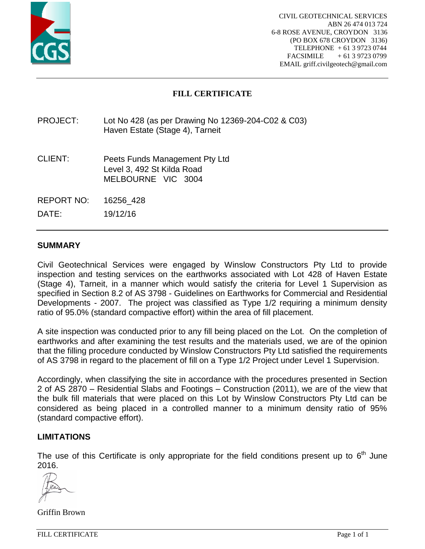

# **FILL CERTIFICATE**

## PROJECT: Lot No 428 (as per Drawing No 12369-204-C02 & C03) Haven Estate (Stage 4), Tarneit

- CLIENT: Peets Funds Management Pty Ltd Level 3, 492 St Kilda Road MELBOURNE VIC 3004
- REPORT NO: 16256\_428

DATE: 19/12/16

## **SUMMARY**

Civil Geotechnical Services were engaged by Winslow Constructors Pty Ltd to provide inspection and testing services on the earthworks associated with Lot 428 of Haven Estate (Stage 4), Tarneit, in a manner which would satisfy the criteria for Level 1 Supervision as specified in Section 8.2 of AS 3798 - Guidelines on Earthworks for Commercial and Residential Developments - 2007. The project was classified as Type 1/2 requiring a minimum density ratio of 95.0% (standard compactive effort) within the area of fill placement.

A site inspection was conducted prior to any fill being placed on the Lot. On the completion of earthworks and after examining the test results and the materials used, we are of the opinion that the filling procedure conducted by Winslow Constructors Pty Ltd satisfied the requirements of AS 3798 in regard to the placement of fill on a Type 1/2 Project under Level 1 Supervision.

Accordingly, when classifying the site in accordance with the procedures presented in Section 2 of AS 2870 – Residential Slabs and Footings – Construction (2011), we are of the view that the bulk fill materials that were placed on this Lot by Winslow Constructors Pty Ltd can be considered as being placed in a controlled manner to a minimum density ratio of 95% (standard compactive effort).

#### **LIMITATIONS**

The use of this Certificate is only appropriate for the field conditions present up to  $6<sup>th</sup>$  June 2016.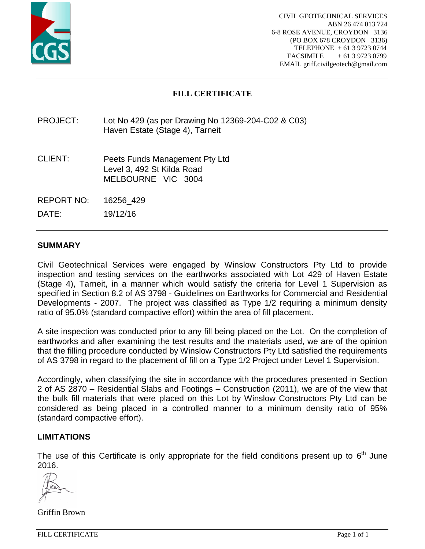

# **FILL CERTIFICATE**

## PROJECT: Lot No 429 (as per Drawing No 12369-204-C02 & C03) Haven Estate (Stage 4), Tarneit

- CLIENT: Peets Funds Management Pty Ltd Level 3, 492 St Kilda Road MELBOURNE VIC 3004
- REPORT NO: 16256\_429

DATE: 19/12/16

### **SUMMARY**

Civil Geotechnical Services were engaged by Winslow Constructors Pty Ltd to provide inspection and testing services on the earthworks associated with Lot 429 of Haven Estate (Stage 4), Tarneit, in a manner which would satisfy the criteria for Level 1 Supervision as specified in Section 8.2 of AS 3798 - Guidelines on Earthworks for Commercial and Residential Developments - 2007. The project was classified as Type 1/2 requiring a minimum density ratio of 95.0% (standard compactive effort) within the area of fill placement.

A site inspection was conducted prior to any fill being placed on the Lot. On the completion of earthworks and after examining the test results and the materials used, we are of the opinion that the filling procedure conducted by Winslow Constructors Pty Ltd satisfied the requirements of AS 3798 in regard to the placement of fill on a Type 1/2 Project under Level 1 Supervision.

Accordingly, when classifying the site in accordance with the procedures presented in Section 2 of AS 2870 – Residential Slabs and Footings – Construction (2011), we are of the view that the bulk fill materials that were placed on this Lot by Winslow Constructors Pty Ltd can be considered as being placed in a controlled manner to a minimum density ratio of 95% (standard compactive effort).

#### **LIMITATIONS**

The use of this Certificate is only appropriate for the field conditions present up to  $6<sup>th</sup>$  June 2016.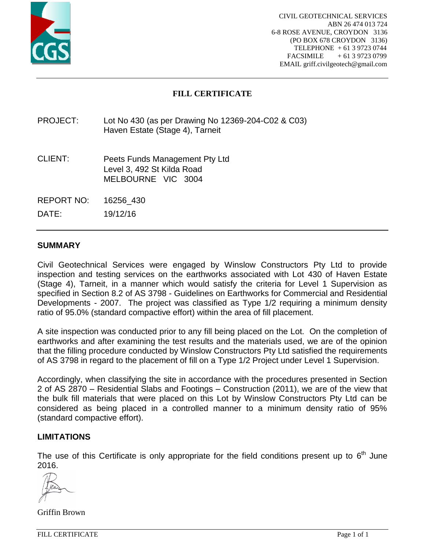

# **FILL CERTIFICATE**

## PROJECT: Lot No 430 (as per Drawing No 12369-204-C02 & C03) Haven Estate (Stage 4), Tarneit

- CLIENT: Peets Funds Management Pty Ltd Level 3, 492 St Kilda Road MELBOURNE VIC 3004
- REPORT NO: 16256\_430

DATE: 19/12/16

### **SUMMARY**

Civil Geotechnical Services were engaged by Winslow Constructors Pty Ltd to provide inspection and testing services on the earthworks associated with Lot 430 of Haven Estate (Stage 4), Tarneit, in a manner which would satisfy the criteria for Level 1 Supervision as specified in Section 8.2 of AS 3798 - Guidelines on Earthworks for Commercial and Residential Developments - 2007. The project was classified as Type 1/2 requiring a minimum density ratio of 95.0% (standard compactive effort) within the area of fill placement.

A site inspection was conducted prior to any fill being placed on the Lot. On the completion of earthworks and after examining the test results and the materials used, we are of the opinion that the filling procedure conducted by Winslow Constructors Pty Ltd satisfied the requirements of AS 3798 in regard to the placement of fill on a Type 1/2 Project under Level 1 Supervision.

Accordingly, when classifying the site in accordance with the procedures presented in Section 2 of AS 2870 – Residential Slabs and Footings – Construction (2011), we are of the view that the bulk fill materials that were placed on this Lot by Winslow Constructors Pty Ltd can be considered as being placed in a controlled manner to a minimum density ratio of 95% (standard compactive effort).

#### **LIMITATIONS**

The use of this Certificate is only appropriate for the field conditions present up to  $6<sup>th</sup>$  June 2016.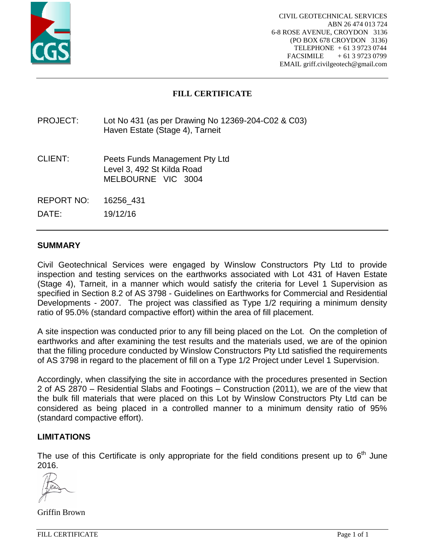

## **FILL CERTIFICATE**

## PROJECT: Lot No 431 (as per Drawing No 12369-204-C02 & C03) Haven Estate (Stage 4), Tarneit

- CLIENT: Peets Funds Management Pty Ltd Level 3, 492 St Kilda Road MELBOURNE VIC 3004
- REPORT NO: 16256\_431

DATE: 19/12/16

### **SUMMARY**

Civil Geotechnical Services were engaged by Winslow Constructors Pty Ltd to provide inspection and testing services on the earthworks associated with Lot 431 of Haven Estate (Stage 4), Tarneit, in a manner which would satisfy the criteria for Level 1 Supervision as specified in Section 8.2 of AS 3798 - Guidelines on Earthworks for Commercial and Residential Developments - 2007. The project was classified as Type 1/2 requiring a minimum density ratio of 95.0% (standard compactive effort) within the area of fill placement.

A site inspection was conducted prior to any fill being placed on the Lot. On the completion of earthworks and after examining the test results and the materials used, we are of the opinion that the filling procedure conducted by Winslow Constructors Pty Ltd satisfied the requirements of AS 3798 in regard to the placement of fill on a Type 1/2 Project under Level 1 Supervision.

Accordingly, when classifying the site in accordance with the procedures presented in Section 2 of AS 2870 – Residential Slabs and Footings – Construction (2011), we are of the view that the bulk fill materials that were placed on this Lot by Winslow Constructors Pty Ltd can be considered as being placed in a controlled manner to a minimum density ratio of 95% (standard compactive effort).

#### **LIMITATIONS**

The use of this Certificate is only appropriate for the field conditions present up to  $6<sup>th</sup>$  June 2016.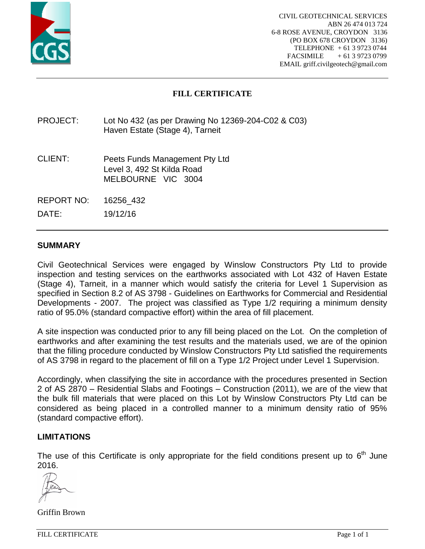

# **FILL CERTIFICATE**

## PROJECT: Lot No 432 (as per Drawing No 12369-204-C02 & C03) Haven Estate (Stage 4), Tarneit

- CLIENT: Peets Funds Management Pty Ltd Level 3, 492 St Kilda Road MELBOURNE VIC 3004
- REPORT NO: 16256\_432

DATE: 19/12/16

## **SUMMARY**

Civil Geotechnical Services were engaged by Winslow Constructors Pty Ltd to provide inspection and testing services on the earthworks associated with Lot 432 of Haven Estate (Stage 4), Tarneit, in a manner which would satisfy the criteria for Level 1 Supervision as specified in Section 8.2 of AS 3798 - Guidelines on Earthworks for Commercial and Residential Developments - 2007. The project was classified as Type 1/2 requiring a minimum density ratio of 95.0% (standard compactive effort) within the area of fill placement.

A site inspection was conducted prior to any fill being placed on the Lot. On the completion of earthworks and after examining the test results and the materials used, we are of the opinion that the filling procedure conducted by Winslow Constructors Pty Ltd satisfied the requirements of AS 3798 in regard to the placement of fill on a Type 1/2 Project under Level 1 Supervision.

Accordingly, when classifying the site in accordance with the procedures presented in Section 2 of AS 2870 – Residential Slabs and Footings – Construction (2011), we are of the view that the bulk fill materials that were placed on this Lot by Winslow Constructors Pty Ltd can be considered as being placed in a controlled manner to a minimum density ratio of 95% (standard compactive effort).

#### **LIMITATIONS**

The use of this Certificate is only appropriate for the field conditions present up to  $6<sup>th</sup>$  June 2016.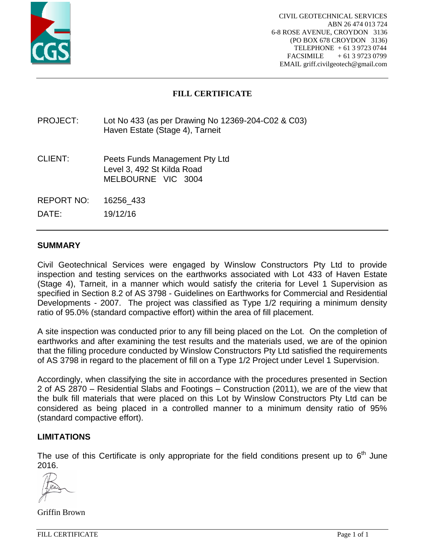

## **FILL CERTIFICATE**

## PROJECT: Lot No 433 (as per Drawing No 12369-204-C02 & C03) Haven Estate (Stage 4), Tarneit

- CLIENT: Peets Funds Management Pty Ltd Level 3, 492 St Kilda Road MELBOURNE VIC 3004
- REPORT NO: 16256\_433

DATE: 19/12/16

### **SUMMARY**

Civil Geotechnical Services were engaged by Winslow Constructors Pty Ltd to provide inspection and testing services on the earthworks associated with Lot 433 of Haven Estate (Stage 4), Tarneit, in a manner which would satisfy the criteria for Level 1 Supervision as specified in Section 8.2 of AS 3798 - Guidelines on Earthworks for Commercial and Residential Developments - 2007. The project was classified as Type 1/2 requiring a minimum density ratio of 95.0% (standard compactive effort) within the area of fill placement.

A site inspection was conducted prior to any fill being placed on the Lot. On the completion of earthworks and after examining the test results and the materials used, we are of the opinion that the filling procedure conducted by Winslow Constructors Pty Ltd satisfied the requirements of AS 3798 in regard to the placement of fill on a Type 1/2 Project under Level 1 Supervision.

Accordingly, when classifying the site in accordance with the procedures presented in Section 2 of AS 2870 – Residential Slabs and Footings – Construction (2011), we are of the view that the bulk fill materials that were placed on this Lot by Winslow Constructors Pty Ltd can be considered as being placed in a controlled manner to a minimum density ratio of 95% (standard compactive effort).

#### **LIMITATIONS**

The use of this Certificate is only appropriate for the field conditions present up to  $6<sup>th</sup>$  June 2016.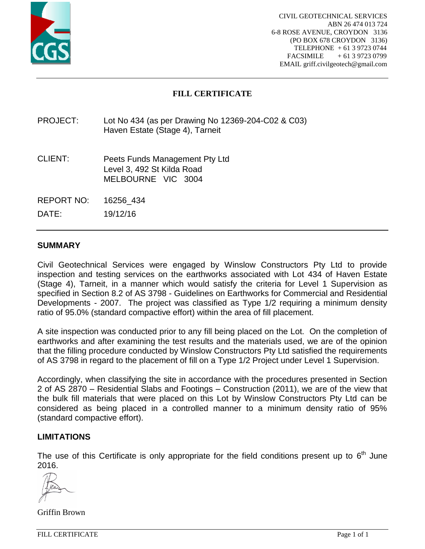

# **FILL CERTIFICATE**

## PROJECT: Lot No 434 (as per Drawing No 12369-204-C02 & C03) Haven Estate (Stage 4), Tarneit

- CLIENT: Peets Funds Management Pty Ltd Level 3, 492 St Kilda Road MELBOURNE VIC 3004
- REPORT NO: 16256\_434

DATE: 19/12/16

### **SUMMARY**

Civil Geotechnical Services were engaged by Winslow Constructors Pty Ltd to provide inspection and testing services on the earthworks associated with Lot 434 of Haven Estate (Stage 4), Tarneit, in a manner which would satisfy the criteria for Level 1 Supervision as specified in Section 8.2 of AS 3798 - Guidelines on Earthworks for Commercial and Residential Developments - 2007. The project was classified as Type 1/2 requiring a minimum density ratio of 95.0% (standard compactive effort) within the area of fill placement.

A site inspection was conducted prior to any fill being placed on the Lot. On the completion of earthworks and after examining the test results and the materials used, we are of the opinion that the filling procedure conducted by Winslow Constructors Pty Ltd satisfied the requirements of AS 3798 in regard to the placement of fill on a Type 1/2 Project under Level 1 Supervision.

Accordingly, when classifying the site in accordance with the procedures presented in Section 2 of AS 2870 – Residential Slabs and Footings – Construction (2011), we are of the view that the bulk fill materials that were placed on this Lot by Winslow Constructors Pty Ltd can be considered as being placed in a controlled manner to a minimum density ratio of 95% (standard compactive effort).

#### **LIMITATIONS**

The use of this Certificate is only appropriate for the field conditions present up to  $6<sup>th</sup>$  June 2016.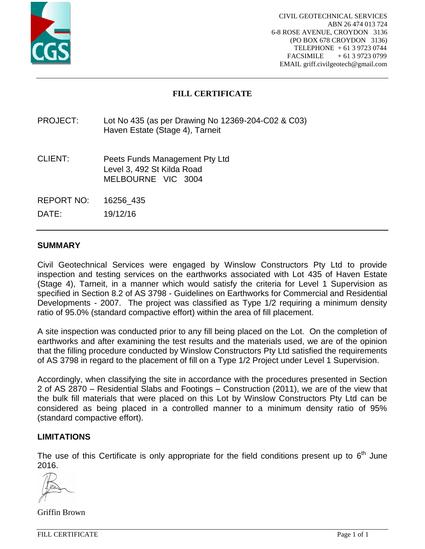

# **FILL CERTIFICATE**

## PROJECT: Lot No 435 (as per Drawing No 12369-204-C02 & C03) Haven Estate (Stage 4), Tarneit

- CLIENT: Peets Funds Management Pty Ltd Level 3, 492 St Kilda Road MELBOURNE VIC 3004
- REPORT NO: 16256\_435

DATE: 19/12/16

### **SUMMARY**

Civil Geotechnical Services were engaged by Winslow Constructors Pty Ltd to provide inspection and testing services on the earthworks associated with Lot 435 of Haven Estate (Stage 4), Tarneit, in a manner which would satisfy the criteria for Level 1 Supervision as specified in Section 8.2 of AS 3798 - Guidelines on Earthworks for Commercial and Residential Developments - 2007. The project was classified as Type 1/2 requiring a minimum density ratio of 95.0% (standard compactive effort) within the area of fill placement.

A site inspection was conducted prior to any fill being placed on the Lot. On the completion of earthworks and after examining the test results and the materials used, we are of the opinion that the filling procedure conducted by Winslow Constructors Pty Ltd satisfied the requirements of AS 3798 in regard to the placement of fill on a Type 1/2 Project under Level 1 Supervision.

Accordingly, when classifying the site in accordance with the procedures presented in Section 2 of AS 2870 – Residential Slabs and Footings – Construction (2011), we are of the view that the bulk fill materials that were placed on this Lot by Winslow Constructors Pty Ltd can be considered as being placed in a controlled manner to a minimum density ratio of 95% (standard compactive effort).

#### **LIMITATIONS**

The use of this Certificate is only appropriate for the field conditions present up to  $6<sup>th</sup>$  June 2016.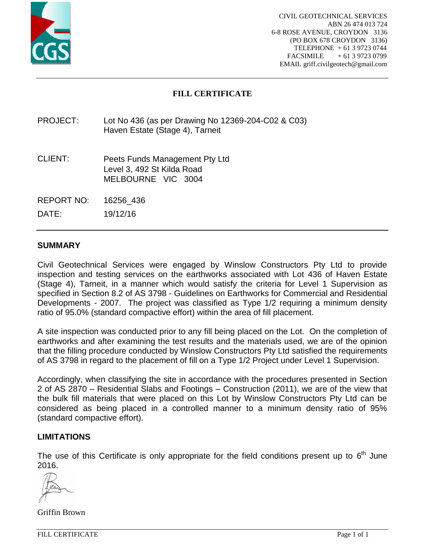

# **FILL CERTIFICATE**

## PROJECT: Lot No 436 (as per Drawing No 12369-204-C02 & C03) Haven Estate (Stage 4), Tarneit

- CLIENT: Peets Funds Management Pty Ltd Level 3, 492 St Kilda Road MELBOURNE VIC 3004
- REPORT NO: 16256\_436

DATE: 19/12/16

### **SUMMARY**

Civil Geotechnical Services were engaged by Winslow Constructors Pty Ltd to provide inspection and testing services on the earthworks associated with Lot 436 of Haven Estate (Stage 4), Tarneit, in a manner which would satisfy the criteria for Level 1 Supervision as specified in Section 8.2 of AS 3798 - Guidelines on Earthworks for Commercial and Residential Developments - 2007. The project was classified as Type 1/2 requiring a minimum density ratio of 95.0% (standard compactive effort) within the area of fill placement.

A site inspection was conducted prior to any fill being placed on the Lot. On the completion of earthworks and after examining the test results and the materials used, we are of the opinion that the filling procedure conducted by Winslow Constructors Pty Ltd satisfied the requirements of AS 3798 in regard to the placement of fill on a Type 1/2 Project under Level 1 Supervision.

Accordingly, when classifying the site in accordance with the procedures presented in Section 2 of AS 2870 – Residential Slabs and Footings – Construction (2011), we are of the view that the bulk fill materials that were placed on this Lot by Winslow Constructors Pty Ltd can be considered as being placed in a controlled manner to a minimum density ratio of 95% (standard compactive effort).

#### **LIMITATIONS**

The use of this Certificate is only appropriate for the field conditions present up to  $6<sup>th</sup>$  June 2016.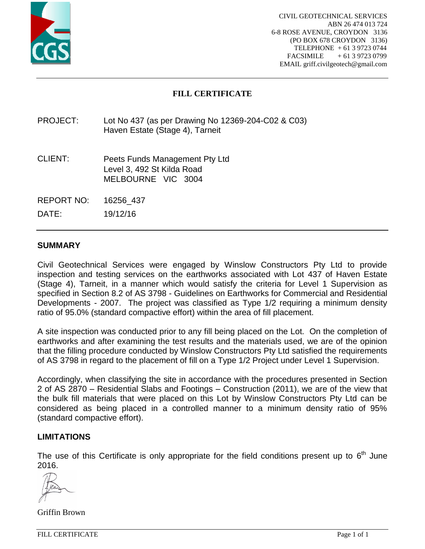

# **FILL CERTIFICATE**

## PROJECT: Lot No 437 (as per Drawing No 12369-204-C02 & C03) Haven Estate (Stage 4), Tarneit

- CLIENT: Peets Funds Management Pty Ltd Level 3, 492 St Kilda Road MELBOURNE VIC 3004
- REPORT NO: 16256\_437

DATE: 19/12/16

## **SUMMARY**

Civil Geotechnical Services were engaged by Winslow Constructors Pty Ltd to provide inspection and testing services on the earthworks associated with Lot 437 of Haven Estate (Stage 4), Tarneit, in a manner which would satisfy the criteria for Level 1 Supervision as specified in Section 8.2 of AS 3798 - Guidelines on Earthworks for Commercial and Residential Developments - 2007. The project was classified as Type 1/2 requiring a minimum density ratio of 95.0% (standard compactive effort) within the area of fill placement.

A site inspection was conducted prior to any fill being placed on the Lot. On the completion of earthworks and after examining the test results and the materials used, we are of the opinion that the filling procedure conducted by Winslow Constructors Pty Ltd satisfied the requirements of AS 3798 in regard to the placement of fill on a Type 1/2 Project under Level 1 Supervision.

Accordingly, when classifying the site in accordance with the procedures presented in Section 2 of AS 2870 – Residential Slabs and Footings – Construction (2011), we are of the view that the bulk fill materials that were placed on this Lot by Winslow Constructors Pty Ltd can be considered as being placed in a controlled manner to a minimum density ratio of 95% (standard compactive effort).

#### **LIMITATIONS**

The use of this Certificate is only appropriate for the field conditions present up to  $6<sup>th</sup>$  June 2016.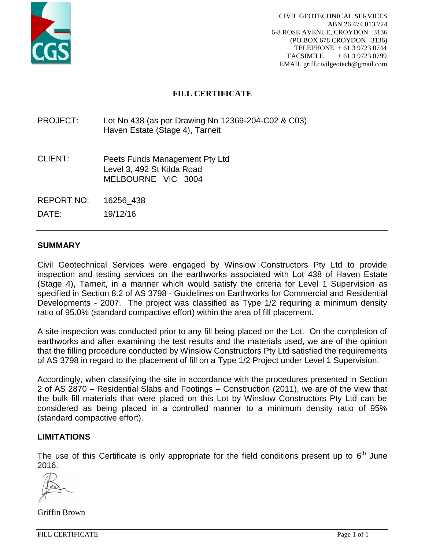

# **FILL CERTIFICATE**

## PROJECT: Lot No 438 (as per Drawing No 12369-204-C02 & C03) Haven Estate (Stage 4), Tarneit

- CLIENT: Peets Funds Management Pty Ltd Level 3, 492 St Kilda Road MELBOURNE VIC 3004
- REPORT NO: 16256\_438

DATE: 19/12/16

## **SUMMARY**

Civil Geotechnical Services were engaged by Winslow Constructors Pty Ltd to provide inspection and testing services on the earthworks associated with Lot 438 of Haven Estate (Stage 4), Tarneit, in a manner which would satisfy the criteria for Level 1 Supervision as specified in Section 8.2 of AS 3798 - Guidelines on Earthworks for Commercial and Residential Developments - 2007. The project was classified as Type 1/2 requiring a minimum density ratio of 95.0% (standard compactive effort) within the area of fill placement.

A site inspection was conducted prior to any fill being placed on the Lot. On the completion of earthworks and after examining the test results and the materials used, we are of the opinion that the filling procedure conducted by Winslow Constructors Pty Ltd satisfied the requirements of AS 3798 in regard to the placement of fill on a Type 1/2 Project under Level 1 Supervision.

Accordingly, when classifying the site in accordance with the procedures presented in Section 2 of AS 2870 – Residential Slabs and Footings – Construction (2011), we are of the view that the bulk fill materials that were placed on this Lot by Winslow Constructors Pty Ltd can be considered as being placed in a controlled manner to a minimum density ratio of 95% (standard compactive effort).

#### **LIMITATIONS**

The use of this Certificate is only appropriate for the field conditions present up to  $6<sup>th</sup>$  June 2016.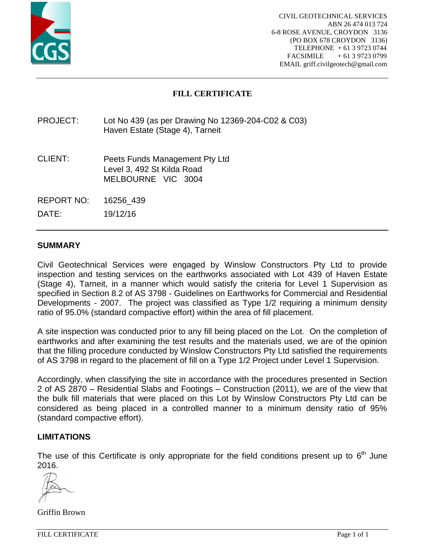

# **FILL CERTIFICATE**

## PROJECT: Lot No 439 (as per Drawing No 12369-204-C02 & C03) Haven Estate (Stage 4), Tarneit

- CLIENT: Peets Funds Management Pty Ltd Level 3, 492 St Kilda Road MELBOURNE VIC 3004
- REPORT NO: 16256\_439

DATE: 19/12/16

## **SUMMARY**

Civil Geotechnical Services were engaged by Winslow Constructors Pty Ltd to provide inspection and testing services on the earthworks associated with Lot 439 of Haven Estate (Stage 4), Tarneit, in a manner which would satisfy the criteria for Level 1 Supervision as specified in Section 8.2 of AS 3798 - Guidelines on Earthworks for Commercial and Residential Developments - 2007. The project was classified as Type 1/2 requiring a minimum density ratio of 95.0% (standard compactive effort) within the area of fill placement.

A site inspection was conducted prior to any fill being placed on the Lot. On the completion of earthworks and after examining the test results and the materials used, we are of the opinion that the filling procedure conducted by Winslow Constructors Pty Ltd satisfied the requirements of AS 3798 in regard to the placement of fill on a Type 1/2 Project under Level 1 Supervision.

Accordingly, when classifying the site in accordance with the procedures presented in Section 2 of AS 2870 – Residential Slabs and Footings – Construction (2011), we are of the view that the bulk fill materials that were placed on this Lot by Winslow Constructors Pty Ltd can be considered as being placed in a controlled manner to a minimum density ratio of 95% (standard compactive effort).

#### **LIMITATIONS**

The use of this Certificate is only appropriate for the field conditions present up to  $6<sup>th</sup>$  June 2016.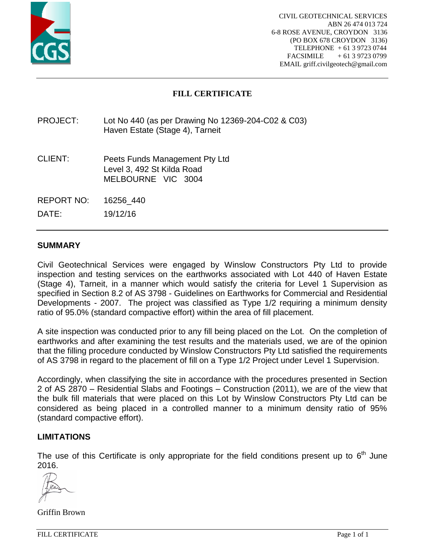

# **FILL CERTIFICATE**

## PROJECT: Lot No 440 (as per Drawing No 12369-204-C02 & C03) Haven Estate (Stage 4), Tarneit

- CLIENT: Peets Funds Management Pty Ltd Level 3, 492 St Kilda Road MELBOURNE VIC 3004
- REPORT NO: 16256\_440

DATE: 19/12/16

### **SUMMARY**

Civil Geotechnical Services were engaged by Winslow Constructors Pty Ltd to provide inspection and testing services on the earthworks associated with Lot 440 of Haven Estate (Stage 4), Tarneit, in a manner which would satisfy the criteria for Level 1 Supervision as specified in Section 8.2 of AS 3798 - Guidelines on Earthworks for Commercial and Residential Developments - 2007. The project was classified as Type 1/2 requiring a minimum density ratio of 95.0% (standard compactive effort) within the area of fill placement.

A site inspection was conducted prior to any fill being placed on the Lot. On the completion of earthworks and after examining the test results and the materials used, we are of the opinion that the filling procedure conducted by Winslow Constructors Pty Ltd satisfied the requirements of AS 3798 in regard to the placement of fill on a Type 1/2 Project under Level 1 Supervision.

Accordingly, when classifying the site in accordance with the procedures presented in Section 2 of AS 2870 – Residential Slabs and Footings – Construction (2011), we are of the view that the bulk fill materials that were placed on this Lot by Winslow Constructors Pty Ltd can be considered as being placed in a controlled manner to a minimum density ratio of 95% (standard compactive effort).

#### **LIMITATIONS**

The use of this Certificate is only appropriate for the field conditions present up to  $6<sup>th</sup>$  June 2016.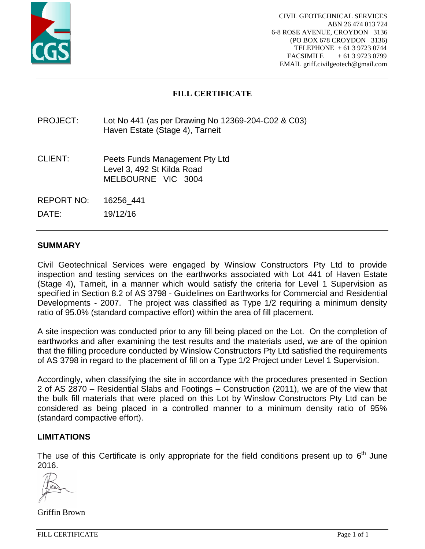

## **FILL CERTIFICATE**

## PROJECT: Lot No 441 (as per Drawing No 12369-204-C02 & C03) Haven Estate (Stage 4), Tarneit

- CLIENT: Peets Funds Management Pty Ltd Level 3, 492 St Kilda Road MELBOURNE VIC 3004
- REPORT NO: 16256\_441

DATE: 19/12/16

### **SUMMARY**

Civil Geotechnical Services were engaged by Winslow Constructors Pty Ltd to provide inspection and testing services on the earthworks associated with Lot 441 of Haven Estate (Stage 4), Tarneit, in a manner which would satisfy the criteria for Level 1 Supervision as specified in Section 8.2 of AS 3798 - Guidelines on Earthworks for Commercial and Residential Developments - 2007. The project was classified as Type 1/2 requiring a minimum density ratio of 95.0% (standard compactive effort) within the area of fill placement.

A site inspection was conducted prior to any fill being placed on the Lot. On the completion of earthworks and after examining the test results and the materials used, we are of the opinion that the filling procedure conducted by Winslow Constructors Pty Ltd satisfied the requirements of AS 3798 in regard to the placement of fill on a Type 1/2 Project under Level 1 Supervision.

Accordingly, when classifying the site in accordance with the procedures presented in Section 2 of AS 2870 – Residential Slabs and Footings – Construction (2011), we are of the view that the bulk fill materials that were placed on this Lot by Winslow Constructors Pty Ltd can be considered as being placed in a controlled manner to a minimum density ratio of 95% (standard compactive effort).

#### **LIMITATIONS**

The use of this Certificate is only appropriate for the field conditions present up to  $6<sup>th</sup>$  June 2016.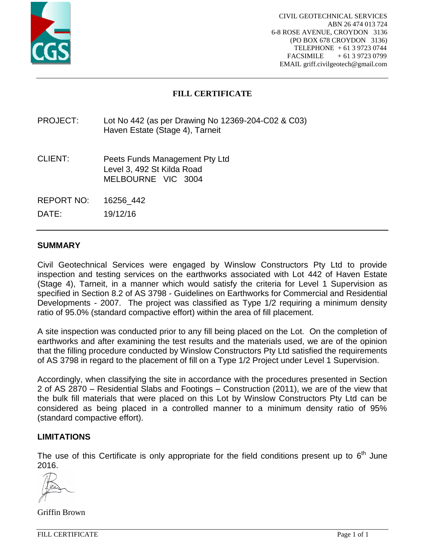

# **FILL CERTIFICATE**

## PROJECT: Lot No 442 (as per Drawing No 12369-204-C02 & C03) Haven Estate (Stage 4), Tarneit

- CLIENT: Peets Funds Management Pty Ltd Level 3, 492 St Kilda Road MELBOURNE VIC 3004
- REPORT NO: 16256\_442

DATE: 19/12/16

#### **SUMMARY**

Civil Geotechnical Services were engaged by Winslow Constructors Pty Ltd to provide inspection and testing services on the earthworks associated with Lot 442 of Haven Estate (Stage 4), Tarneit, in a manner which would satisfy the criteria for Level 1 Supervision as specified in Section 8.2 of AS 3798 - Guidelines on Earthworks for Commercial and Residential Developments - 2007. The project was classified as Type 1/2 requiring a minimum density ratio of 95.0% (standard compactive effort) within the area of fill placement.

A site inspection was conducted prior to any fill being placed on the Lot. On the completion of earthworks and after examining the test results and the materials used, we are of the opinion that the filling procedure conducted by Winslow Constructors Pty Ltd satisfied the requirements of AS 3798 in regard to the placement of fill on a Type 1/2 Project under Level 1 Supervision.

Accordingly, when classifying the site in accordance with the procedures presented in Section 2 of AS 2870 – Residential Slabs and Footings – Construction (2011), we are of the view that the bulk fill materials that were placed on this Lot by Winslow Constructors Pty Ltd can be considered as being placed in a controlled manner to a minimum density ratio of 95% (standard compactive effort).

#### **LIMITATIONS**

The use of this Certificate is only appropriate for the field conditions present up to  $6<sup>th</sup>$  June 2016.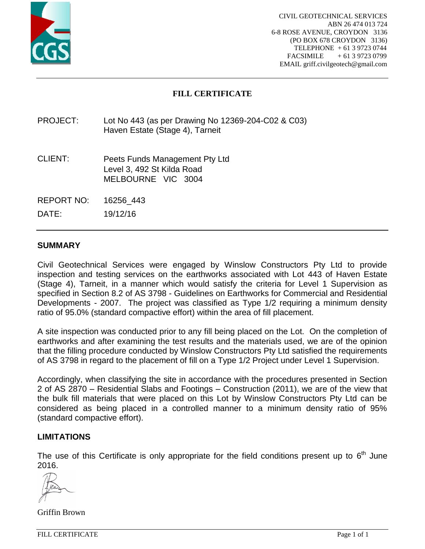

# **FILL CERTIFICATE**

## PROJECT: Lot No 443 (as per Drawing No 12369-204-C02 & C03) Haven Estate (Stage 4), Tarneit

- CLIENT: Peets Funds Management Pty Ltd Level 3, 492 St Kilda Road MELBOURNE VIC 3004
- REPORT NO: 16256\_443

DATE: 19/12/16

### **SUMMARY**

Civil Geotechnical Services were engaged by Winslow Constructors Pty Ltd to provide inspection and testing services on the earthworks associated with Lot 443 of Haven Estate (Stage 4), Tarneit, in a manner which would satisfy the criteria for Level 1 Supervision as specified in Section 8.2 of AS 3798 - Guidelines on Earthworks for Commercial and Residential Developments - 2007. The project was classified as Type 1/2 requiring a minimum density ratio of 95.0% (standard compactive effort) within the area of fill placement.

A site inspection was conducted prior to any fill being placed on the Lot. On the completion of earthworks and after examining the test results and the materials used, we are of the opinion that the filling procedure conducted by Winslow Constructors Pty Ltd satisfied the requirements of AS 3798 in regard to the placement of fill on a Type 1/2 Project under Level 1 Supervision.

Accordingly, when classifying the site in accordance with the procedures presented in Section 2 of AS 2870 – Residential Slabs and Footings – Construction (2011), we are of the view that the bulk fill materials that were placed on this Lot by Winslow Constructors Pty Ltd can be considered as being placed in a controlled manner to a minimum density ratio of 95% (standard compactive effort).

#### **LIMITATIONS**

The use of this Certificate is only appropriate for the field conditions present up to  $6<sup>th</sup>$  June 2016.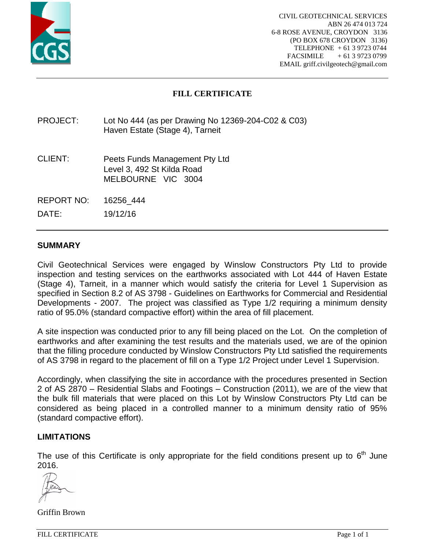

## **FILL CERTIFICATE**

## PROJECT: Lot No 444 (as per Drawing No 12369-204-C02 & C03) Haven Estate (Stage 4), Tarneit

- CLIENT: Peets Funds Management Pty Ltd Level 3, 492 St Kilda Road MELBOURNE VIC 3004
- REPORT NO: 16256\_444

DATE: 19/12/16

### **SUMMARY**

Civil Geotechnical Services were engaged by Winslow Constructors Pty Ltd to provide inspection and testing services on the earthworks associated with Lot 444 of Haven Estate (Stage 4), Tarneit, in a manner which would satisfy the criteria for Level 1 Supervision as specified in Section 8.2 of AS 3798 - Guidelines on Earthworks for Commercial and Residential Developments - 2007. The project was classified as Type 1/2 requiring a minimum density ratio of 95.0% (standard compactive effort) within the area of fill placement.

A site inspection was conducted prior to any fill being placed on the Lot. On the completion of earthworks and after examining the test results and the materials used, we are of the opinion that the filling procedure conducted by Winslow Constructors Pty Ltd satisfied the requirements of AS 3798 in regard to the placement of fill on a Type 1/2 Project under Level 1 Supervision.

Accordingly, when classifying the site in accordance with the procedures presented in Section 2 of AS 2870 – Residential Slabs and Footings – Construction (2011), we are of the view that the bulk fill materials that were placed on this Lot by Winslow Constructors Pty Ltd can be considered as being placed in a controlled manner to a minimum density ratio of 95% (standard compactive effort).

#### **LIMITATIONS**

The use of this Certificate is only appropriate for the field conditions present up to  $6<sup>th</sup>$  June 2016.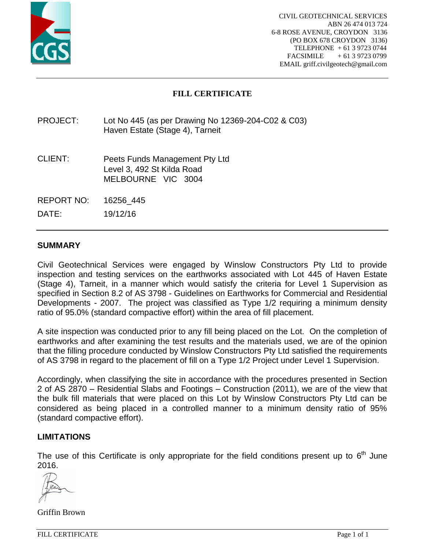

# **FILL CERTIFICATE**

## PROJECT: Lot No 445 (as per Drawing No 12369-204-C02 & C03) Haven Estate (Stage 4), Tarneit

- CLIENT: Peets Funds Management Pty Ltd Level 3, 492 St Kilda Road MELBOURNE VIC 3004
- REPORT NO: 16256\_445

DATE: 19/12/16

#### **SUMMARY**

Civil Geotechnical Services were engaged by Winslow Constructors Pty Ltd to provide inspection and testing services on the earthworks associated with Lot 445 of Haven Estate (Stage 4), Tarneit, in a manner which would satisfy the criteria for Level 1 Supervision as specified in Section 8.2 of AS 3798 - Guidelines on Earthworks for Commercial and Residential Developments - 2007. The project was classified as Type 1/2 requiring a minimum density ratio of 95.0% (standard compactive effort) within the area of fill placement.

A site inspection was conducted prior to any fill being placed on the Lot. On the completion of earthworks and after examining the test results and the materials used, we are of the opinion that the filling procedure conducted by Winslow Constructors Pty Ltd satisfied the requirements of AS 3798 in regard to the placement of fill on a Type 1/2 Project under Level 1 Supervision.

Accordingly, when classifying the site in accordance with the procedures presented in Section 2 of AS 2870 – Residential Slabs and Footings – Construction (2011), we are of the view that the bulk fill materials that were placed on this Lot by Winslow Constructors Pty Ltd can be considered as being placed in a controlled manner to a minimum density ratio of 95% (standard compactive effort).

#### **LIMITATIONS**

The use of this Certificate is only appropriate for the field conditions present up to  $6<sup>th</sup>$  June 2016.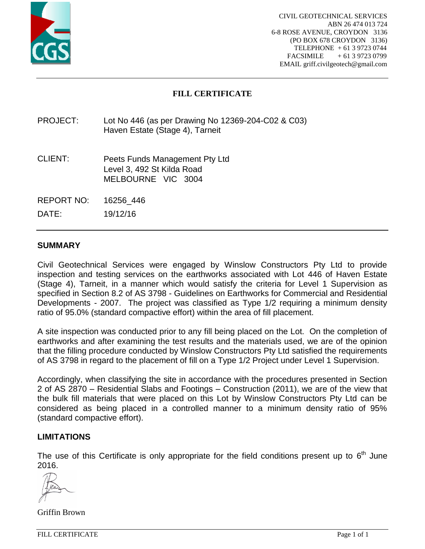

# **FILL CERTIFICATE**

## PROJECT: Lot No 446 (as per Drawing No 12369-204-C02 & C03) Haven Estate (Stage 4), Tarneit

- CLIENT: Peets Funds Management Pty Ltd Level 3, 492 St Kilda Road MELBOURNE VIC 3004
- REPORT NO: 16256\_446

DATE: 19/12/16

### **SUMMARY**

Civil Geotechnical Services were engaged by Winslow Constructors Pty Ltd to provide inspection and testing services on the earthworks associated with Lot 446 of Haven Estate (Stage 4), Tarneit, in a manner which would satisfy the criteria for Level 1 Supervision as specified in Section 8.2 of AS 3798 - Guidelines on Earthworks for Commercial and Residential Developments - 2007. The project was classified as Type 1/2 requiring a minimum density ratio of 95.0% (standard compactive effort) within the area of fill placement.

A site inspection was conducted prior to any fill being placed on the Lot. On the completion of earthworks and after examining the test results and the materials used, we are of the opinion that the filling procedure conducted by Winslow Constructors Pty Ltd satisfied the requirements of AS 3798 in regard to the placement of fill on a Type 1/2 Project under Level 1 Supervision.

Accordingly, when classifying the site in accordance with the procedures presented in Section 2 of AS 2870 – Residential Slabs and Footings – Construction (2011), we are of the view that the bulk fill materials that were placed on this Lot by Winslow Constructors Pty Ltd can be considered as being placed in a controlled manner to a minimum density ratio of 95% (standard compactive effort).

#### **LIMITATIONS**

The use of this Certificate is only appropriate for the field conditions present up to  $6<sup>th</sup>$  June 2016.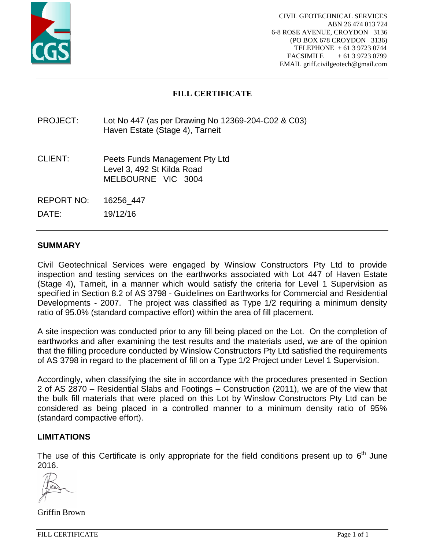

# **FILL CERTIFICATE**

## PROJECT: Lot No 447 (as per Drawing No 12369-204-C02 & C03) Haven Estate (Stage 4), Tarneit

- CLIENT: Peets Funds Management Pty Ltd Level 3, 492 St Kilda Road MELBOURNE VIC 3004
- REPORT NO: 16256\_447

DATE: 19/12/16

### **SUMMARY**

Civil Geotechnical Services were engaged by Winslow Constructors Pty Ltd to provide inspection and testing services on the earthworks associated with Lot 447 of Haven Estate (Stage 4), Tarneit, in a manner which would satisfy the criteria for Level 1 Supervision as specified in Section 8.2 of AS 3798 - Guidelines on Earthworks for Commercial and Residential Developments - 2007. The project was classified as Type 1/2 requiring a minimum density ratio of 95.0% (standard compactive effort) within the area of fill placement.

A site inspection was conducted prior to any fill being placed on the Lot. On the completion of earthworks and after examining the test results and the materials used, we are of the opinion that the filling procedure conducted by Winslow Constructors Pty Ltd satisfied the requirements of AS 3798 in regard to the placement of fill on a Type 1/2 Project under Level 1 Supervision.

Accordingly, when classifying the site in accordance with the procedures presented in Section 2 of AS 2870 – Residential Slabs and Footings – Construction (2011), we are of the view that the bulk fill materials that were placed on this Lot by Winslow Constructors Pty Ltd can be considered as being placed in a controlled manner to a minimum density ratio of 95% (standard compactive effort).

#### **LIMITATIONS**

The use of this Certificate is only appropriate for the field conditions present up to  $6<sup>th</sup>$  June 2016.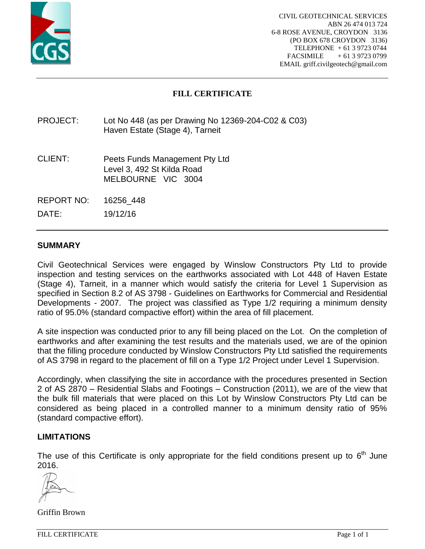

# **FILL CERTIFICATE**

## PROJECT: Lot No 448 (as per Drawing No 12369-204-C02 & C03) Haven Estate (Stage 4), Tarneit

- CLIENT: Peets Funds Management Pty Ltd Level 3, 492 St Kilda Road MELBOURNE VIC 3004
- REPORT NO: 16256\_448

DATE: 19/12/16

### **SUMMARY**

Civil Geotechnical Services were engaged by Winslow Constructors Pty Ltd to provide inspection and testing services on the earthworks associated with Lot 448 of Haven Estate (Stage 4), Tarneit, in a manner which would satisfy the criteria for Level 1 Supervision as specified in Section 8.2 of AS 3798 - Guidelines on Earthworks for Commercial and Residential Developments - 2007. The project was classified as Type 1/2 requiring a minimum density ratio of 95.0% (standard compactive effort) within the area of fill placement.

A site inspection was conducted prior to any fill being placed on the Lot. On the completion of earthworks and after examining the test results and the materials used, we are of the opinion that the filling procedure conducted by Winslow Constructors Pty Ltd satisfied the requirements of AS 3798 in regard to the placement of fill on a Type 1/2 Project under Level 1 Supervision.

Accordingly, when classifying the site in accordance with the procedures presented in Section 2 of AS 2870 – Residential Slabs and Footings – Construction (2011), we are of the view that the bulk fill materials that were placed on this Lot by Winslow Constructors Pty Ltd can be considered as being placed in a controlled manner to a minimum density ratio of 95% (standard compactive effort).

#### **LIMITATIONS**

The use of this Certificate is only appropriate for the field conditions present up to  $6<sup>th</sup>$  June 2016.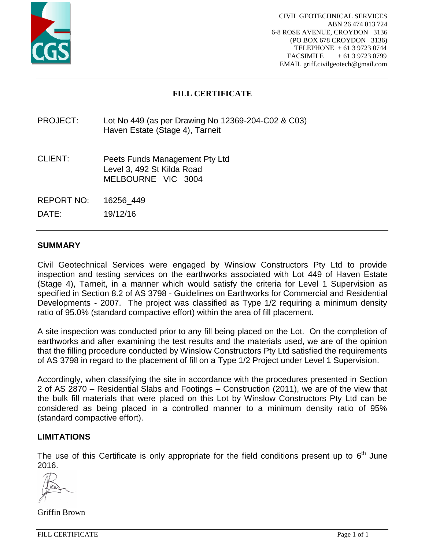

## **FILL CERTIFICATE**

## PROJECT: Lot No 449 (as per Drawing No 12369-204-C02 & C03) Haven Estate (Stage 4), Tarneit

- CLIENT: Peets Funds Management Pty Ltd Level 3, 492 St Kilda Road MELBOURNE VIC 3004
- REPORT NO: 16256\_449

DATE: 19/12/16

### **SUMMARY**

Civil Geotechnical Services were engaged by Winslow Constructors Pty Ltd to provide inspection and testing services on the earthworks associated with Lot 449 of Haven Estate (Stage 4), Tarneit, in a manner which would satisfy the criteria for Level 1 Supervision as specified in Section 8.2 of AS 3798 - Guidelines on Earthworks for Commercial and Residential Developments - 2007. The project was classified as Type 1/2 requiring a minimum density ratio of 95.0% (standard compactive effort) within the area of fill placement.

A site inspection was conducted prior to any fill being placed on the Lot. On the completion of earthworks and after examining the test results and the materials used, we are of the opinion that the filling procedure conducted by Winslow Constructors Pty Ltd satisfied the requirements of AS 3798 in regard to the placement of fill on a Type 1/2 Project under Level 1 Supervision.

Accordingly, when classifying the site in accordance with the procedures presented in Section 2 of AS 2870 – Residential Slabs and Footings – Construction (2011), we are of the view that the bulk fill materials that were placed on this Lot by Winslow Constructors Pty Ltd can be considered as being placed in a controlled manner to a minimum density ratio of 95% (standard compactive effort).

#### **LIMITATIONS**

The use of this Certificate is only appropriate for the field conditions present up to  $6<sup>th</sup>$  June 2016.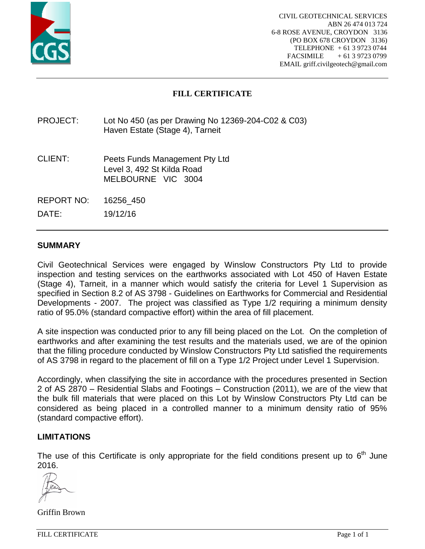

# **FILL CERTIFICATE**

## PROJECT: Lot No 450 (as per Drawing No 12369-204-C02 & C03) Haven Estate (Stage 4), Tarneit

- CLIENT: Peets Funds Management Pty Ltd Level 3, 492 St Kilda Road MELBOURNE VIC 3004
- REPORT NO: 16256\_450

DATE: 19/12/16

### **SUMMARY**

Civil Geotechnical Services were engaged by Winslow Constructors Pty Ltd to provide inspection and testing services on the earthworks associated with Lot 450 of Haven Estate (Stage 4), Tarneit, in a manner which would satisfy the criteria for Level 1 Supervision as specified in Section 8.2 of AS 3798 - Guidelines on Earthworks for Commercial and Residential Developments - 2007. The project was classified as Type 1/2 requiring a minimum density ratio of 95.0% (standard compactive effort) within the area of fill placement.

A site inspection was conducted prior to any fill being placed on the Lot. On the completion of earthworks and after examining the test results and the materials used, we are of the opinion that the filling procedure conducted by Winslow Constructors Pty Ltd satisfied the requirements of AS 3798 in regard to the placement of fill on a Type 1/2 Project under Level 1 Supervision.

Accordingly, when classifying the site in accordance with the procedures presented in Section 2 of AS 2870 – Residential Slabs and Footings – Construction (2011), we are of the view that the bulk fill materials that were placed on this Lot by Winslow Constructors Pty Ltd can be considered as being placed in a controlled manner to a minimum density ratio of 95% (standard compactive effort).

#### **LIMITATIONS**

The use of this Certificate is only appropriate for the field conditions present up to  $6<sup>th</sup>$  June 2016.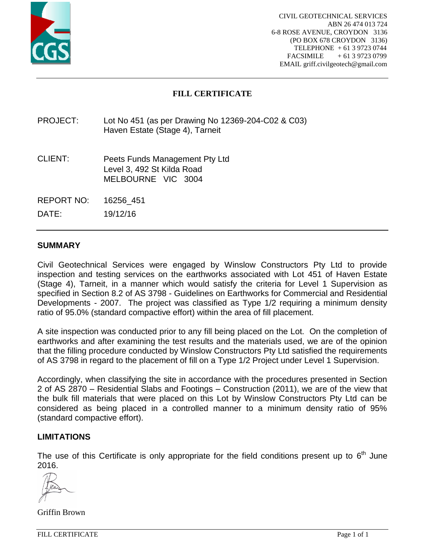

# **FILL CERTIFICATE**

## PROJECT: Lot No 451 (as per Drawing No 12369-204-C02 & C03) Haven Estate (Stage 4), Tarneit

- CLIENT: Peets Funds Management Pty Ltd Level 3, 492 St Kilda Road MELBOURNE VIC 3004
- REPORT NO: 16256\_451

DATE: 19/12/16

### **SUMMARY**

Civil Geotechnical Services were engaged by Winslow Constructors Pty Ltd to provide inspection and testing services on the earthworks associated with Lot 451 of Haven Estate (Stage 4), Tarneit, in a manner which would satisfy the criteria for Level 1 Supervision as specified in Section 8.2 of AS 3798 - Guidelines on Earthworks for Commercial and Residential Developments - 2007. The project was classified as Type 1/2 requiring a minimum density ratio of 95.0% (standard compactive effort) within the area of fill placement.

A site inspection was conducted prior to any fill being placed on the Lot. On the completion of earthworks and after examining the test results and the materials used, we are of the opinion that the filling procedure conducted by Winslow Constructors Pty Ltd satisfied the requirements of AS 3798 in regard to the placement of fill on a Type 1/2 Project under Level 1 Supervision.

Accordingly, when classifying the site in accordance with the procedures presented in Section 2 of AS 2870 – Residential Slabs and Footings – Construction (2011), we are of the view that the bulk fill materials that were placed on this Lot by Winslow Constructors Pty Ltd can be considered as being placed in a controlled manner to a minimum density ratio of 95% (standard compactive effort).

#### **LIMITATIONS**

The use of this Certificate is only appropriate for the field conditions present up to  $6<sup>th</sup>$  June 2016.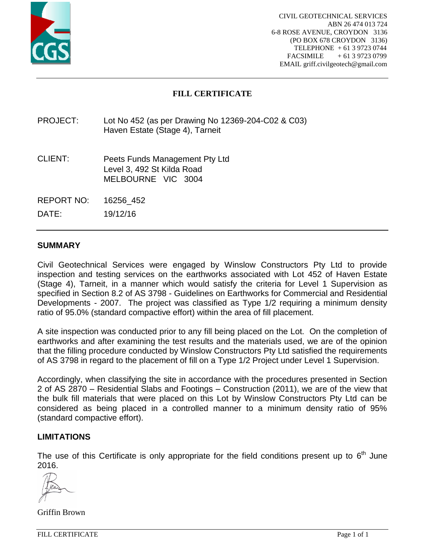

# **FILL CERTIFICATE**

## PROJECT: Lot No 452 (as per Drawing No 12369-204-C02 & C03) Haven Estate (Stage 4), Tarneit

- CLIENT: Peets Funds Management Pty Ltd Level 3, 492 St Kilda Road MELBOURNE VIC 3004
- REPORT NO: 16256\_452

DATE: 19/12/16

### **SUMMARY**

Civil Geotechnical Services were engaged by Winslow Constructors Pty Ltd to provide inspection and testing services on the earthworks associated with Lot 452 of Haven Estate (Stage 4), Tarneit, in a manner which would satisfy the criteria for Level 1 Supervision as specified in Section 8.2 of AS 3798 - Guidelines on Earthworks for Commercial and Residential Developments - 2007. The project was classified as Type 1/2 requiring a minimum density ratio of 95.0% (standard compactive effort) within the area of fill placement.

A site inspection was conducted prior to any fill being placed on the Lot. On the completion of earthworks and after examining the test results and the materials used, we are of the opinion that the filling procedure conducted by Winslow Constructors Pty Ltd satisfied the requirements of AS 3798 in regard to the placement of fill on a Type 1/2 Project under Level 1 Supervision.

Accordingly, when classifying the site in accordance with the procedures presented in Section 2 of AS 2870 – Residential Slabs and Footings – Construction (2011), we are of the view that the bulk fill materials that were placed on this Lot by Winslow Constructors Pty Ltd can be considered as being placed in a controlled manner to a minimum density ratio of 95% (standard compactive effort).

#### **LIMITATIONS**

The use of this Certificate is only appropriate for the field conditions present up to  $6<sup>th</sup>$  June 2016.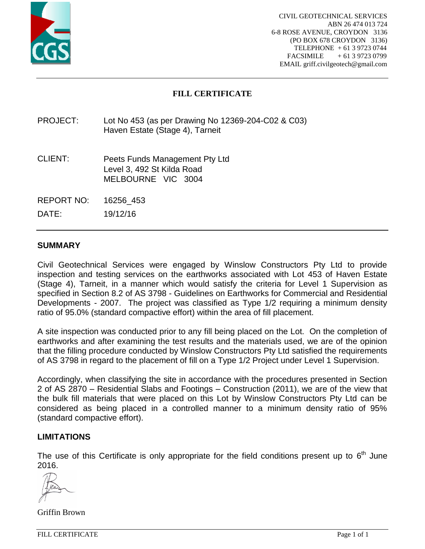

# **FILL CERTIFICATE**

## PROJECT: Lot No 453 (as per Drawing No 12369-204-C02 & C03) Haven Estate (Stage 4), Tarneit

- CLIENT: Peets Funds Management Pty Ltd Level 3, 492 St Kilda Road MELBOURNE VIC 3004
- REPORT NO: 16256\_453

DATE: 19/12/16

## **SUMMARY**

Civil Geotechnical Services were engaged by Winslow Constructors Pty Ltd to provide inspection and testing services on the earthworks associated with Lot 453 of Haven Estate (Stage 4), Tarneit, in a manner which would satisfy the criteria for Level 1 Supervision as specified in Section 8.2 of AS 3798 - Guidelines on Earthworks for Commercial and Residential Developments - 2007. The project was classified as Type 1/2 requiring a minimum density ratio of 95.0% (standard compactive effort) within the area of fill placement.

A site inspection was conducted prior to any fill being placed on the Lot. On the completion of earthworks and after examining the test results and the materials used, we are of the opinion that the filling procedure conducted by Winslow Constructors Pty Ltd satisfied the requirements of AS 3798 in regard to the placement of fill on a Type 1/2 Project under Level 1 Supervision.

Accordingly, when classifying the site in accordance with the procedures presented in Section 2 of AS 2870 – Residential Slabs and Footings – Construction (2011), we are of the view that the bulk fill materials that were placed on this Lot by Winslow Constructors Pty Ltd can be considered as being placed in a controlled manner to a minimum density ratio of 95% (standard compactive effort).

#### **LIMITATIONS**

The use of this Certificate is only appropriate for the field conditions present up to  $6<sup>th</sup>$  June 2016.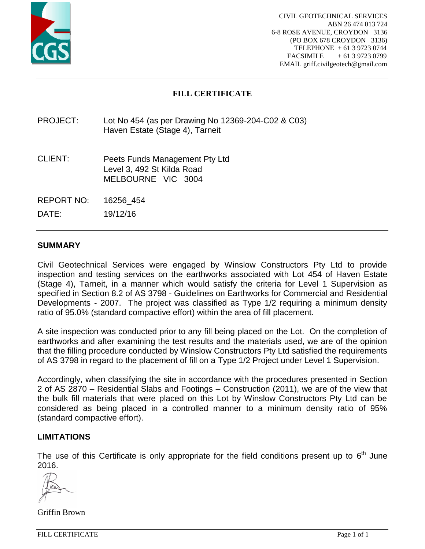

# **FILL CERTIFICATE**

## PROJECT: Lot No 454 (as per Drawing No 12369-204-C02 & C03) Haven Estate (Stage 4), Tarneit

- CLIENT: Peets Funds Management Pty Ltd Level 3, 492 St Kilda Road MELBOURNE VIC 3004
- REPORT NO: 16256\_454

DATE: 19/12/16

### **SUMMARY**

Civil Geotechnical Services were engaged by Winslow Constructors Pty Ltd to provide inspection and testing services on the earthworks associated with Lot 454 of Haven Estate (Stage 4), Tarneit, in a manner which would satisfy the criteria for Level 1 Supervision as specified in Section 8.2 of AS 3798 - Guidelines on Earthworks for Commercial and Residential Developments - 2007. The project was classified as Type 1/2 requiring a minimum density ratio of 95.0% (standard compactive effort) within the area of fill placement.

A site inspection was conducted prior to any fill being placed on the Lot. On the completion of earthworks and after examining the test results and the materials used, we are of the opinion that the filling procedure conducted by Winslow Constructors Pty Ltd satisfied the requirements of AS 3798 in regard to the placement of fill on a Type 1/2 Project under Level 1 Supervision.

Accordingly, when classifying the site in accordance with the procedures presented in Section 2 of AS 2870 – Residential Slabs and Footings – Construction (2011), we are of the view that the bulk fill materials that were placed on this Lot by Winslow Constructors Pty Ltd can be considered as being placed in a controlled manner to a minimum density ratio of 95% (standard compactive effort).

#### **LIMITATIONS**

The use of this Certificate is only appropriate for the field conditions present up to  $6<sup>th</sup>$  June 2016.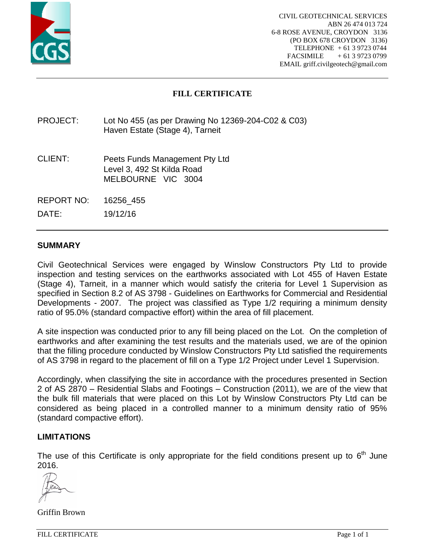

# **FILL CERTIFICATE**

## PROJECT: Lot No 455 (as per Drawing No 12369-204-C02 & C03) Haven Estate (Stage 4), Tarneit

- CLIENT: Peets Funds Management Pty Ltd Level 3, 492 St Kilda Road MELBOURNE VIC 3004
- REPORT NO: 16256\_455

DATE: 19/12/16

### **SUMMARY**

Civil Geotechnical Services were engaged by Winslow Constructors Pty Ltd to provide inspection and testing services on the earthworks associated with Lot 455 of Haven Estate (Stage 4), Tarneit, in a manner which would satisfy the criteria for Level 1 Supervision as specified in Section 8.2 of AS 3798 - Guidelines on Earthworks for Commercial and Residential Developments - 2007. The project was classified as Type 1/2 requiring a minimum density ratio of 95.0% (standard compactive effort) within the area of fill placement.

A site inspection was conducted prior to any fill being placed on the Lot. On the completion of earthworks and after examining the test results and the materials used, we are of the opinion that the filling procedure conducted by Winslow Constructors Pty Ltd satisfied the requirements of AS 3798 in regard to the placement of fill on a Type 1/2 Project under Level 1 Supervision.

Accordingly, when classifying the site in accordance with the procedures presented in Section 2 of AS 2870 – Residential Slabs and Footings – Construction (2011), we are of the view that the bulk fill materials that were placed on this Lot by Winslow Constructors Pty Ltd can be considered as being placed in a controlled manner to a minimum density ratio of 95% (standard compactive effort).

#### **LIMITATIONS**

The use of this Certificate is only appropriate for the field conditions present up to  $6<sup>th</sup>$  June 2016.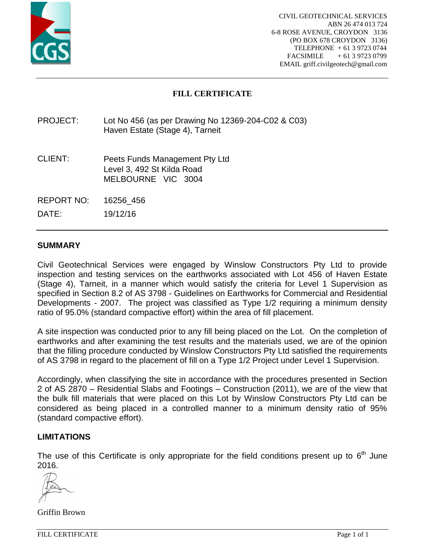

## **FILL CERTIFICATE**

## PROJECT: Lot No 456 (as per Drawing No 12369-204-C02 & C03) Haven Estate (Stage 4), Tarneit

- CLIENT: Peets Funds Management Pty Ltd Level 3, 492 St Kilda Road MELBOURNE VIC 3004
- REPORT NO: 16256\_456

DATE: 19/12/16

## **SUMMARY**

Civil Geotechnical Services were engaged by Winslow Constructors Pty Ltd to provide inspection and testing services on the earthworks associated with Lot 456 of Haven Estate (Stage 4), Tarneit, in a manner which would satisfy the criteria for Level 1 Supervision as specified in Section 8.2 of AS 3798 - Guidelines on Earthworks for Commercial and Residential Developments - 2007. The project was classified as Type 1/2 requiring a minimum density ratio of 95.0% (standard compactive effort) within the area of fill placement.

A site inspection was conducted prior to any fill being placed on the Lot. On the completion of earthworks and after examining the test results and the materials used, we are of the opinion that the filling procedure conducted by Winslow Constructors Pty Ltd satisfied the requirements of AS 3798 in regard to the placement of fill on a Type 1/2 Project under Level 1 Supervision.

Accordingly, when classifying the site in accordance with the procedures presented in Section 2 of AS 2870 – Residential Slabs and Footings – Construction (2011), we are of the view that the bulk fill materials that were placed on this Lot by Winslow Constructors Pty Ltd can be considered as being placed in a controlled manner to a minimum density ratio of 95% (standard compactive effort).

#### **LIMITATIONS**

The use of this Certificate is only appropriate for the field conditions present up to  $6<sup>th</sup>$  June 2016.